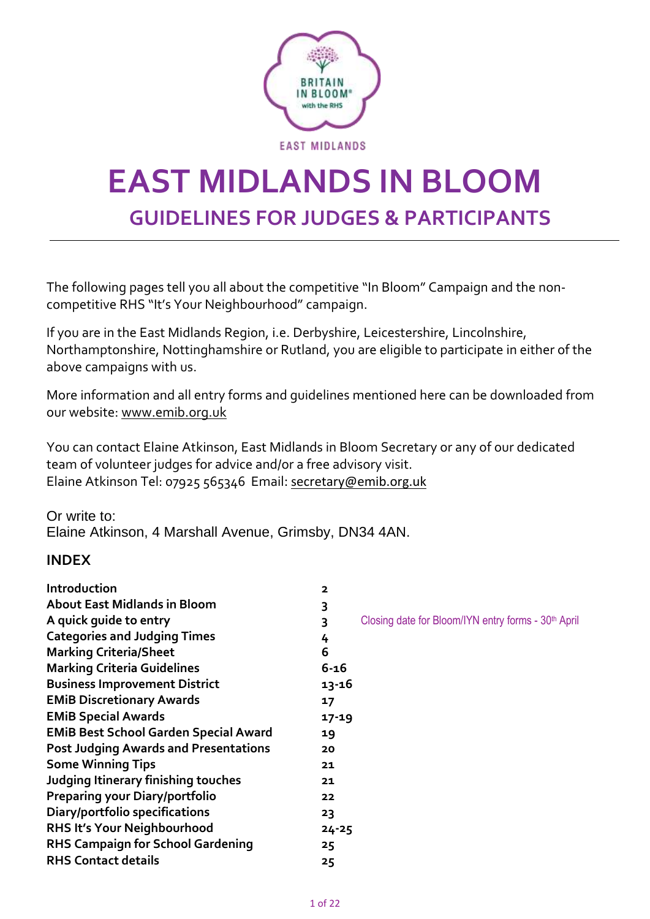

# **EAST MIDLANDS IN BLOOM GUIDELINES FOR JUDGES & PARTICIPANTS**

The following pages tell you all about the competitive "In Bloom" Campaign and the noncompetitive RHS "It's Your Neighbourhood" campaign.

If you are in the East Midlands Region, i.e. Derbyshire, Leicestershire, Lincolnshire, Northamptonshire, Nottinghamshire or Rutland, you are eligible to participate in either of the above campaigns with us.

More information and all entry forms and guidelines mentioned here can be downloaded from our website: [www.emib.org.uk](http://www.emib.org.uk/)

You can contact Elaine Atkinson, East Midlands in Bloom Secretary or any of our dedicated team of volunteer judges for advice and/or a free advisory visit. Elaine Atkinson Tel: 07925 565346 Email: [secretary@emib.org.uk](mailto:secretary@emib.org.uk)

Or write to: Elaine Atkinson, 4 Marshall Avenue, Grimsby, DN34 4AN.

### **INDEX**

| Closing date for Bloom/IYN entry forms - 30 <sup>th</sup> April |
|-----------------------------------------------------------------|
|                                                                 |
|                                                                 |
|                                                                 |
| $13 - 16$                                                       |
|                                                                 |
| $17 - 19$                                                       |
|                                                                 |
|                                                                 |
|                                                                 |
|                                                                 |
|                                                                 |
|                                                                 |
| $24 - 25$                                                       |
|                                                                 |
|                                                                 |
|                                                                 |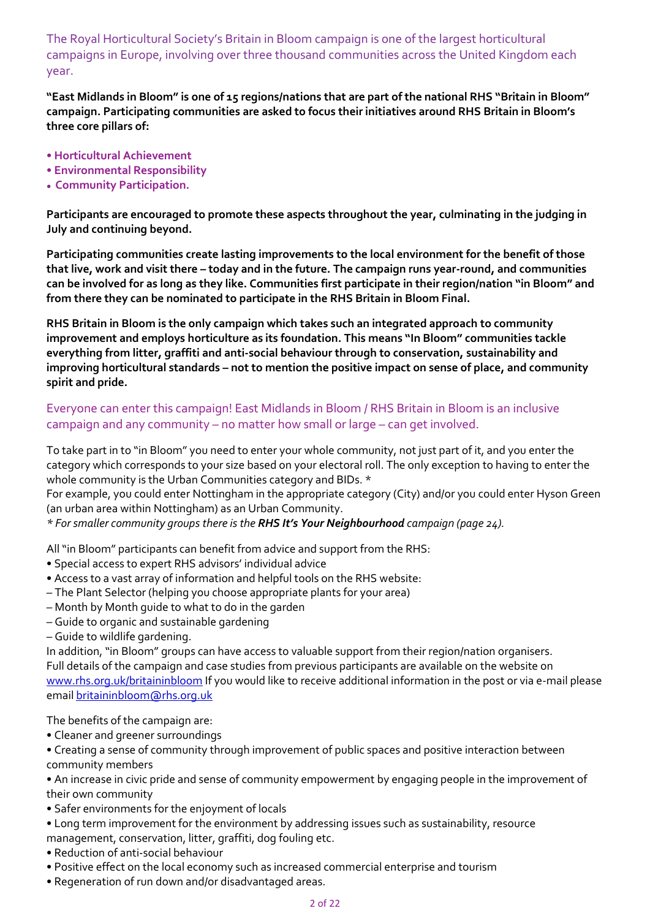The Royal Horticultural Society's Britain in Bloom campaign is one of the largest horticultural campaigns in Europe, involving over three thousand communities across the United Kingdom each year.

"East Midlands in Bloom" is one of 15 regions/nations that are part of the national RHS "Britain in Bloom" **campaign. Participating communities are asked to focus their initiatives around RHS Britain in Bloom's three core pillars of:**

- **• Horticultural Achievement**
- **• Environmental Responsibility**
- **• Community Participation.**

**Participants are encouraged to promote these aspects throughout the year, culminating in the judging in July and continuing beyond.**

**Participating communities create lasting improvements to the local environment for the benefit of those** that live, work and visit there - today and in the future. The campaign runs year-round, and communities can be involved for as long as they like. Communities first participate in their region/nation "in Bloom" and **from there they can be nominated to participate in the RHS Britain in Bloom Final.**

**RHS Britain in Bloom is the only campaign which takes such an integrated approach to community improvement and employs horticulture as its foundation. This means "In Bloom" communities tackle everything from litter, graffiti and anti-social behaviour through to conservation, sustainability and improving horticultural standards – not to mention the positive impact on sense of place, and community spirit and pride.**

### Everyone can enter this campaign! East Midlands in Bloom / RHS Britain in Bloom is an inclusive campaign and any community – no matter how small or large – can get involved.

To take part in to "in Bloom" you need to enter your whole community, not just part of it, and you enter the category which corresponds to your size based on your electoral roll. The only exception to having to enter the whole community is the Urban Communities category and BIDs. \*

For example, you could enter Nottingham in the appropriate category (City) and/or you could enter Hyson Green (an urban area within Nottingham) as an Urban Community.

*\* Forsmaller community groups there is the RHS It's Your Neighbourhood campaign (page 24).*

All"in Bloom" participants can benefit from advice and support from the RHS:

- Special access to expert RHS advisors' individual advice
- Access to a vast array of information and helpful tools on the RHS website:
- The Plant Selector (helping you choose appropriate plants for your area)
- Month by Month guide to what to do in the garden
- Guide to organic and sustainable gardening
- Guide to wildlife gardening.

In addition,"in Bloom" groups can have access to valuable support from their region/nation organisers. Full details of the campaign and case studies from previous participants are available on the website on [www.rhs.org.uk/britaininbloom](http://www.rhs.org.uk/britaininbloom) If you would like to receive additional information in the post or via e-mail please email [britaininbloom@rhs.org.uk](mailto:britaininbloom@rhs.org.uk)

The benefits of the campaign are:

- Cleaner and greener surroundings
- Creating a sense of community through improvement of public spaces and positive interaction between community members

• An increase in civic pride and sense of community empowerment by engaging people in the improvement of their own community

- Safer environments for the enjoyment of locals
- Long term improvement for the environment by addressing issues such as sustainability, resource
- management, conservation, litter, graffiti, dog fouling etc.
- Reduction of anti-social behaviour
- Positive effect on the local economy such as increased commercial enterprise and tourism
- Regeneration of run down and/or disadvantaged areas.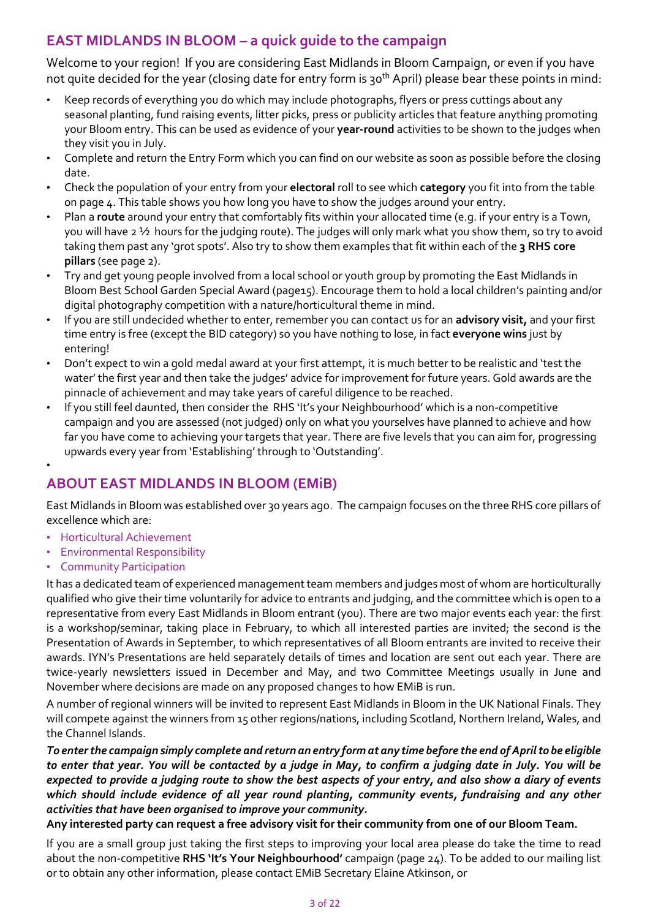## **EAST MIDLANDS IN BLOOM – a quick guide to the campaign**

Welcome to your region! If you are considering East Midlands in Bloom Campaign, or even if you have not quite decided for the year (closing date for entry form is 30<sup>th</sup> April) please bear these points in mind:

- Keep records of everything you do which may include photographs, flyers or press cuttings about any seasonal planting, fund raising events, litter picks, press or publicity articles that feature anything promoting your Bloom entry. This can be used as evidence of your **year-round** activities to be shown to the judges when they visit you in July.
- Complete and return the Entry Form which you can find on our website as soon as possible before the closing date.
- Check the population of your entry from your **electoral** roll to see which **category** you fit into from the table on page 4. This table shows you how long you have to show the judges around your entry.
- Plan a **route** around your entry that comfortably fits within your allocated time (e.g. if your entry is a Town, you will have 2 ½ hours for the judging route). The judges will only mark what you show them, so try to avoid taking them past any 'grot spots'. Also try to show them examples that fit within each of the **3 RHS core pillars** (see page 2).
- Try and get young people involved from a local school or youth group by promoting the East Midlands in Bloom Best School Garden Special Award (page15). Encourage them to hold a local children's painting and/or digital photography competition with a nature/horticultural theme in mind.
- If you are still undecided whether to enter, remember you can contact us for an **advisory visit,** and your first time entry is free (except the BID category) so you have nothing to lose, in fact **everyone wins** just by entering!
- Don't expect to win a gold medal award at your first attempt, it is much better to be realistic and 'test the water' the first year and then take the judges' advice for improvement for future years. Gold awards are the pinnacle of achievement and may take years of careful diligence to be reached.
- If you still feel daunted, then consider the RHS 'It's your Neighbourhood' which is a non-competitive campaign and you are assessed (not judged) only on what you yourselves have planned to achieve and how far you have come to achieving your targets that year. There are five levels that you can aim for, progressing upwards every year from 'Establishing' through to 'Outstanding'.

### **ABOUT EAST MIDLANDS IN BLOOM (EMiB)**

East Midlands in Bloom was established over 30 years ago. The campaign focuses on the three RHS core pillars of excellence which are:

• Horticultural Achievement

•

- Environmental Responsibility
- Community Participation

It has a dedicated team of experienced management team members and judges most of whom are horticulturally qualified who give their time voluntarily for advice to entrants and judging, and the committee which is open to a representative from every East Midlands in Bloom entrant (you). There are two major events each year: the first is a workshop/seminar, taking place in February, to which all interested parties are invited; the second is the Presentation of Awards in September, to which representatives of all Bloom entrants are invited to receive their awards. IYN's Presentations are held separately details of times and location are sent out each year. There are twice-yearly newsletters issued in December and May, and two Committee Meetings usually in June and November where decisions are made on any proposed changes to how EMiB is run.

A number of regional winners will be invited to represent East Midlands in Bloom in the UK National Finals. They will compete against the winners from 15 other regions/nations, including Scotland, Northern Ireland, Wales, and the Channel Islands.

To enter the campaign simply complete and return an entry form at any time before the end of April to be eligible to enter that year. You will be contacted by a judge in May, to confirm a judging date in July. You will be expected to provide a judging route to show the best aspects of your entry, and also show a diary of events *which should include evidence of all year round planting, community events, fundraising and any other activities that have been organised to improve your community.*

Any interested party can request a free advisory visit for their community from one of our Bloom Team.

If you are a small group just taking the first steps to improving your local area please do take the time to read about the non-competitive **RHS 'It's Your Neighbourhood'** campaign (page 24). To be added to our mailing list or to obtain any other information, please contact EMiB Secretary Elaine Atkinson, or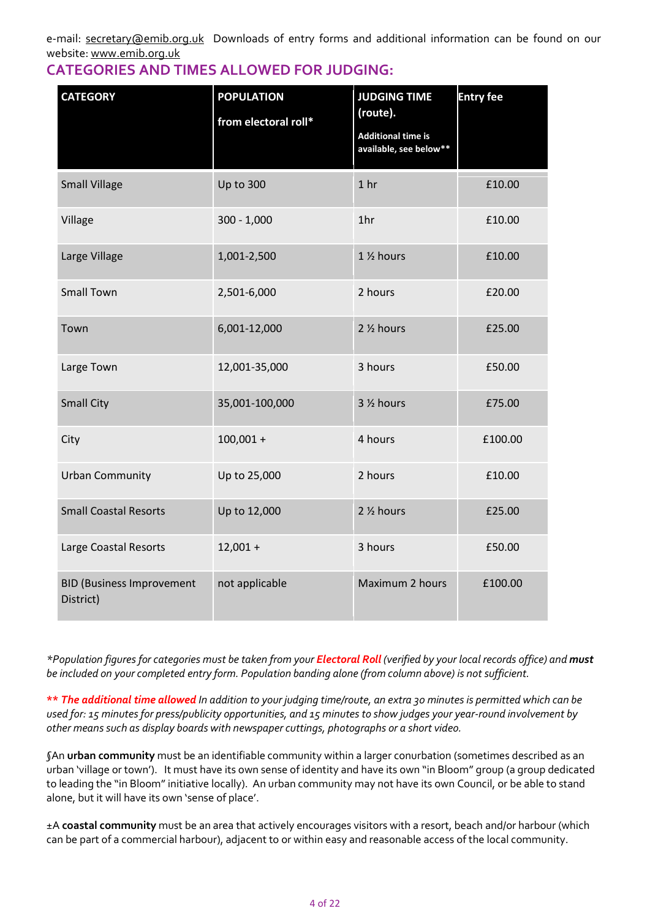e-mail: [secretary@emib.org.uk](mailto:secretary@emib.org.uk) Downloads of entry forms and additional information can be found on our website: [www.emib.org.uk](http://www.emib.org.uk/)

### **CATEGORIES AND TIMES ALLOWED FOR JUDGING:**

| <b>CATEGORY</b>                                                                                                                                                                                                                                                                                                                                                                                                                                                                                                                                                                                                                                                                                                                                                                                                                                                                                                                                                                                                          | <b>POPULATION</b><br>from electoral roll* | <b>JUDGING TIME</b><br>(route).<br><b>Additional time is</b><br>available, see below** | <b>Entry fee</b> |
|--------------------------------------------------------------------------------------------------------------------------------------------------------------------------------------------------------------------------------------------------------------------------------------------------------------------------------------------------------------------------------------------------------------------------------------------------------------------------------------------------------------------------------------------------------------------------------------------------------------------------------------------------------------------------------------------------------------------------------------------------------------------------------------------------------------------------------------------------------------------------------------------------------------------------------------------------------------------------------------------------------------------------|-------------------------------------------|----------------------------------------------------------------------------------------|------------------|
| <b>Small Village</b>                                                                                                                                                                                                                                                                                                                                                                                                                                                                                                                                                                                                                                                                                                                                                                                                                                                                                                                                                                                                     | <b>Up to 300</b>                          | 1 <sub>hr</sub>                                                                        | £10.00           |
| Village                                                                                                                                                                                                                                                                                                                                                                                                                                                                                                                                                                                                                                                                                                                                                                                                                                                                                                                                                                                                                  | $300 - 1,000$                             | 1hr                                                                                    | £10.00           |
| Large Village                                                                                                                                                                                                                                                                                                                                                                                                                                                                                                                                                                                                                                                                                                                                                                                                                                                                                                                                                                                                            | 1,001-2,500                               | 1 1/2 hours                                                                            | £10.00           |
| <b>Small Town</b>                                                                                                                                                                                                                                                                                                                                                                                                                                                                                                                                                                                                                                                                                                                                                                                                                                                                                                                                                                                                        | 2,501-6,000                               | 2 hours                                                                                | £20.00           |
| Town                                                                                                                                                                                                                                                                                                                                                                                                                                                                                                                                                                                                                                                                                                                                                                                                                                                                                                                                                                                                                     | 6,001-12,000                              | 2 1/2 hours                                                                            | £25.00           |
| Large Town                                                                                                                                                                                                                                                                                                                                                                                                                                                                                                                                                                                                                                                                                                                                                                                                                                                                                                                                                                                                               | 12,001-35,000                             | 3 hours                                                                                | £50.00           |
| <b>Small City</b>                                                                                                                                                                                                                                                                                                                                                                                                                                                                                                                                                                                                                                                                                                                                                                                                                                                                                                                                                                                                        | 35,001-100,000                            | 3 1/2 hours                                                                            | £75.00           |
| City                                                                                                                                                                                                                                                                                                                                                                                                                                                                                                                                                                                                                                                                                                                                                                                                                                                                                                                                                                                                                     | $100,001 +$                               | 4 hours                                                                                | £100.00          |
| <b>Urban Community</b>                                                                                                                                                                                                                                                                                                                                                                                                                                                                                                                                                                                                                                                                                                                                                                                                                                                                                                                                                                                                   | Up to 25,000                              | 2 hours                                                                                | £10.00           |
| <b>Small Coastal Resorts</b>                                                                                                                                                                                                                                                                                                                                                                                                                                                                                                                                                                                                                                                                                                                                                                                                                                                                                                                                                                                             | Up to 12,000                              | 2 % hours                                                                              | £25.00           |
| Large Coastal Resorts                                                                                                                                                                                                                                                                                                                                                                                                                                                                                                                                                                                                                                                                                                                                                                                                                                                                                                                                                                                                    | $12,001 +$                                | 3 hours                                                                                | £50.00           |
| <b>BID (Business Improvement</b><br>District)                                                                                                                                                                                                                                                                                                                                                                                                                                                                                                                                                                                                                                                                                                                                                                                                                                                                                                                                                                            | not applicable                            | Maximum 2 hours                                                                        | £100.00          |
| *Population figures for categories must be taken from your <b>Electoral Roll</b> (verified by your local records office) and<br>be included on your completed entry form. Population banding alone (from column above) is not sufficient.<br><b>** The additional time allowed</b> In addition to your judging time/route, an extra 30 minutes is permitted which car<br>used for: 15 minutes for press/publicity opportunities, and 15 minutes to show judges your year-round involvement<br>other means such as display boards with newspaper cuttings, photographs or a short video.<br>$\mathfrak f$ An <b>urban community</b> must be an identifiable community within a larger conurbation (sometimes described a:<br>urban 'village or town').   It must have its own sense of identity and have its own "in Bloom" group (a group dedi<br>to leading the "in Bloom" initiative locally).  An urban community may not have its own Council, or be able to st<br>alone, but it will have its own 'sense of place'. |                                           |                                                                                        |                  |
| ±A <b>coastal community</b> must be an area that actively encourages visitors with a resort, beach and/or harbour (w<br>can be part of a commercial harbour), adjacent to or within easy and reasonable access of the local community.                                                                                                                                                                                                                                                                                                                                                                                                                                                                                                                                                                                                                                                                                                                                                                                   |                                           |                                                                                        |                  |

\*Population figures for categories must be taken from your Electoral Roll (verified by your local records office) and must *be included on your completed entry form. Population banding alone (from column above) is not sufficient.* 

*§*An **urban community** must be an identifiable community within a larger conurbation (sometimes described as an urban 'village or town'). It must have its own sense of identity and have its own "in Bloom" group (a group dedicated to leading the "in Bloom" initiative locally). An urban community may not have its own Council, or be able to stand alone, but it will have its own 'sense of place'.

±A **coastal community** must be an area that actively encourages visitors with a resort, beach and/or harbour (which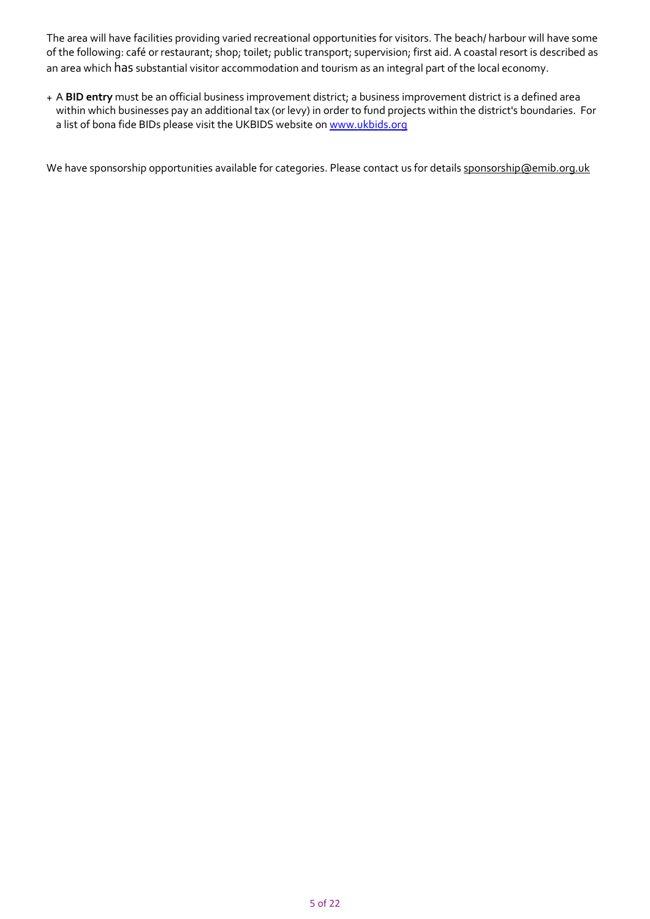The area will have facilities providing varied recreational opportunities for visitors. The beach/ harbour will have some of the following: café or restaurant; shop; toilet; public transport; supervision; first aid. A coastal resort is described as an area which has substantial visitor accommodation and tourism as an integral part of the local economy.

+ A **BID entry** must be an official business improvement district; a business improvement district is a defined area within which businesses pay an additional tax (or levy) in order to fund projects within the district's boundaries. For a list of bona fide BIDs please visit the UKBIDS website on [www.ukbids.org](http://www.ukbids.org/)

We have sponsorship opportunities available for categories. Please contact us for details [sponsorship@emib.org.uk](mailto:sponsorship@emib.org.uk)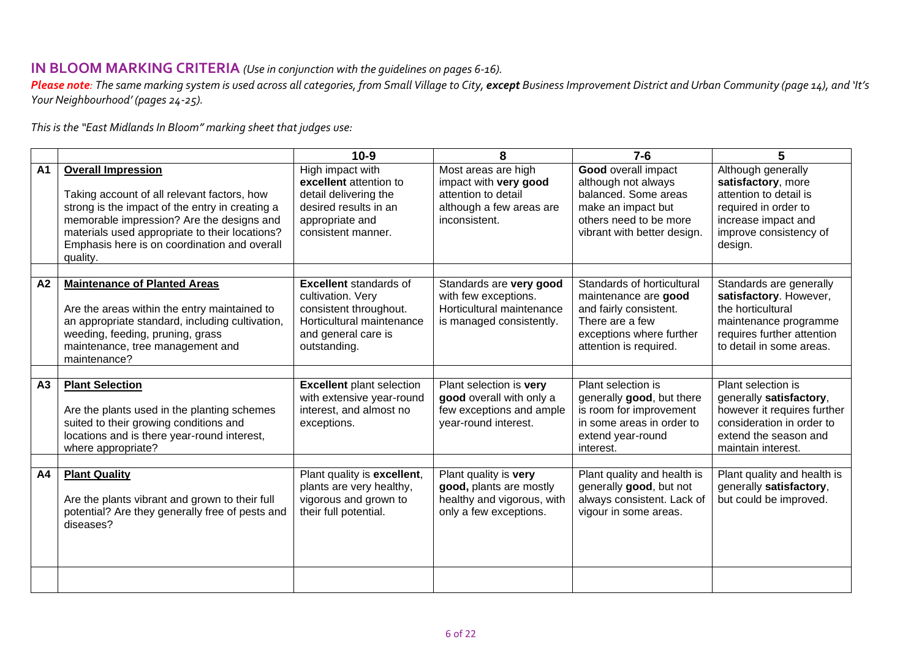### **IN BLOOM MARKING CRITERIA** *(Use in conjunction with the guidelines on pages 6-16).*

Please note: The same marking system is used across all categories, from Small Village to City, except Business Improvement District and Urban Community (page 14), and 'It's *Your Neighbourhood' (pages 24-25).*

*This is the "East Midlands In Bloom" marking sheet that judges use:*

|                |                                                                                                                                                                                                                                                                                        | $10-9$                                                                                                                                           | 8                                                                                                                | $7-6$                                                                                                                                                    | 5                                                                                                                                                         |
|----------------|----------------------------------------------------------------------------------------------------------------------------------------------------------------------------------------------------------------------------------------------------------------------------------------|--------------------------------------------------------------------------------------------------------------------------------------------------|------------------------------------------------------------------------------------------------------------------|----------------------------------------------------------------------------------------------------------------------------------------------------------|-----------------------------------------------------------------------------------------------------------------------------------------------------------|
| A <sub>1</sub> | <b>Overall Impression</b><br>Taking account of all relevant factors, how<br>strong is the impact of the entry in creating a<br>memorable impression? Are the designs and<br>materials used appropriate to their locations?<br>Emphasis here is on coordination and overall<br>quality. | High impact with<br>excellent attention to<br>detail delivering the<br>desired results in an<br>appropriate and<br>consistent manner.            | Most areas are high<br>impact with very good<br>attention to detail<br>although a few areas are<br>inconsistent. | <b>Good</b> overall impact<br>although not always<br>balanced. Some areas<br>make an impact but<br>others need to be more<br>vibrant with better design. | Although generally<br>satisfactory, more<br>attention to detail is<br>required in order to<br>increase impact and<br>improve consistency of<br>design.    |
| A <sub>2</sub> | <b>Maintenance of Planted Areas</b><br>Are the areas within the entry maintained to<br>an appropriate standard, including cultivation,<br>weeding, feeding, pruning, grass<br>maintenance, tree management and<br>maintenance?                                                         | <b>Excellent</b> standards of<br>cultivation. Very<br>consistent throughout.<br>Horticultural maintenance<br>and general care is<br>outstanding. | Standards are very good<br>with few exceptions.<br>Horticultural maintenance<br>is managed consistently.         | Standards of horticultural<br>maintenance are good<br>and fairly consistent.<br>There are a few<br>exceptions where further<br>attention is required.    | Standards are generally<br>satisfactory. However,<br>the horticultural<br>maintenance programme<br>requires further attention<br>to detail in some areas. |
| A <sub>3</sub> | <b>Plant Selection</b>                                                                                                                                                                                                                                                                 | <b>Excellent plant selection</b>                                                                                                                 | Plant selection is very                                                                                          | Plant selection is                                                                                                                                       | Plant selection is                                                                                                                                        |
|                | Are the plants used in the planting schemes<br>suited to their growing conditions and<br>locations and is there year-round interest,<br>where appropriate?                                                                                                                             | with extensive year-round<br>interest, and almost no<br>exceptions.                                                                              | good overall with only a<br>few exceptions and ample<br>year-round interest.                                     | generally good, but there<br>is room for improvement<br>in some areas in order to<br>extend year-round<br>interest.                                      | generally satisfactory,<br>however it requires further<br>consideration in order to<br>extend the season and<br>maintain interest.                        |
| A4             | <b>Plant Quality</b><br>Are the plants vibrant and grown to their full<br>potential? Are they generally free of pests and<br>diseases?                                                                                                                                                 | Plant quality is excellent,<br>plants are very healthy,<br>vigorous and grown to<br>their full potential.                                        | Plant quality is very<br>good, plants are mostly<br>healthy and vigorous, with<br>only a few exceptions.         | Plant quality and health is<br>generally good, but not<br>always consistent. Lack of<br>vigour in some areas.                                            | Plant quality and health is<br>generally satisfactory,<br>but could be improved.                                                                          |
|                |                                                                                                                                                                                                                                                                                        |                                                                                                                                                  |                                                                                                                  |                                                                                                                                                          |                                                                                                                                                           |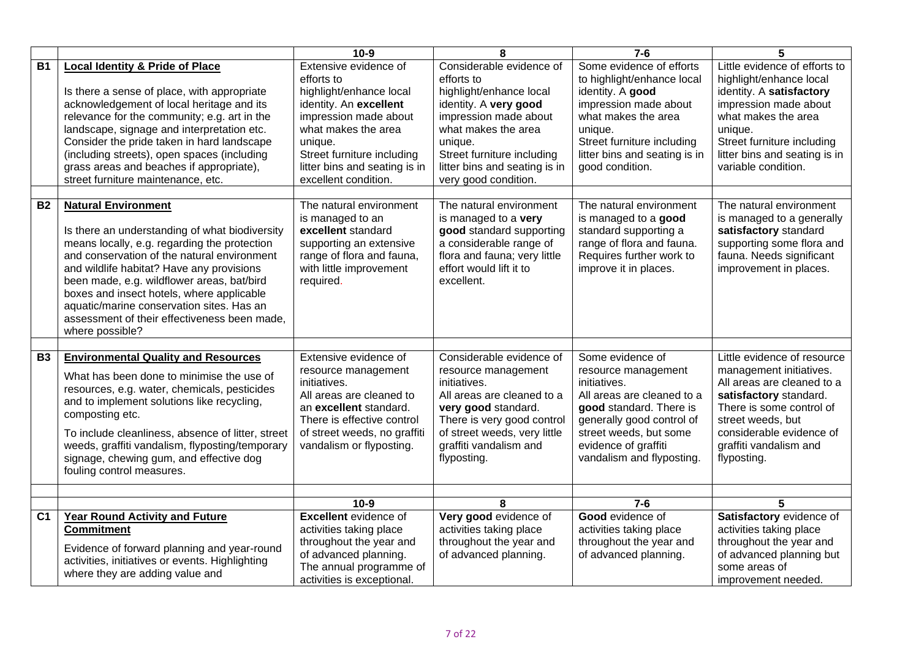|                |                                                                                                                                                                                                                                                                                                                                                                                                                                     | $10-9$                                                                                                                                                                                                                                     | 8                                                                                                                                                                                                                                            | $7-6$                                                                                                                                                                                                                        | 5                                                                                                                                                                                                                                     |
|----------------|-------------------------------------------------------------------------------------------------------------------------------------------------------------------------------------------------------------------------------------------------------------------------------------------------------------------------------------------------------------------------------------------------------------------------------------|--------------------------------------------------------------------------------------------------------------------------------------------------------------------------------------------------------------------------------------------|----------------------------------------------------------------------------------------------------------------------------------------------------------------------------------------------------------------------------------------------|------------------------------------------------------------------------------------------------------------------------------------------------------------------------------------------------------------------------------|---------------------------------------------------------------------------------------------------------------------------------------------------------------------------------------------------------------------------------------|
| <b>B1</b>      | <b>Local Identity &amp; Pride of Place</b><br>Is there a sense of place, with appropriate<br>acknowledgement of local heritage and its<br>relevance for the community; e.g. art in the<br>landscape, signage and interpretation etc.<br>Consider the pride taken in hard landscape<br>(including streets), open spaces (including<br>grass areas and beaches if appropriate),<br>street furniture maintenance, etc.                 | Extensive evidence of<br>efforts to<br>highlight/enhance local<br>identity. An excellent<br>impression made about<br>what makes the area<br>unique.<br>Street furniture including<br>litter bins and seating is in<br>excellent condition. | Considerable evidence of<br>efforts to<br>highlight/enhance local<br>identity. A very good<br>impression made about<br>what makes the area<br>unique.<br>Street furniture including<br>litter bins and seating is in<br>very good condition. | Some evidence of efforts<br>to highlight/enhance local<br>identity. A good<br>impression made about<br>what makes the area<br>unique.<br>Street furniture including<br>litter bins and seating is in<br>good condition.      | Little evidence of efforts to<br>highlight/enhance local<br>identity. A satisfactory<br>impression made about<br>what makes the area<br>unique.<br>Street furniture including<br>litter bins and seating is in<br>variable condition. |
| <b>B2</b>      | <b>Natural Environment</b><br>Is there an understanding of what biodiversity<br>means locally, e.g. regarding the protection<br>and conservation of the natural environment<br>and wildlife habitat? Have any provisions<br>been made, e.g. wildflower areas, bat/bird<br>boxes and insect hotels, where applicable<br>aquatic/marine conservation sites. Has an<br>assessment of their effectiveness been made,<br>where possible? | The natural environment<br>is managed to an<br>excellent standard<br>supporting an extensive<br>range of flora and fauna,<br>with little improvement<br>required.                                                                          | The natural environment<br>is managed to a very<br>good standard supporting<br>a considerable range of<br>flora and fauna; very little<br>effort would lift it to<br>excellent.                                                              | The natural environment<br>is managed to a good<br>standard supporting a<br>range of flora and fauna.<br>Requires further work to<br>improve it in places.                                                                   | The natural environment<br>is managed to a generally<br>satisfactory standard<br>supporting some flora and<br>fauna. Needs significant<br>improvement in places.                                                                      |
| <b>B3</b>      | <b>Environmental Quality and Resources</b><br>What has been done to minimise the use of<br>resources, e.g. water, chemicals, pesticides<br>and to implement solutions like recycling,<br>composting etc.<br>To include cleanliness, absence of litter, street<br>weeds, graffiti vandalism, flyposting/temporary<br>signage, chewing gum, and effective dog<br>fouling control measures.                                            | Extensive evidence of<br>resource management<br>initiatives.<br>All areas are cleaned to<br>an excellent standard.<br>There is effective control<br>of street weeds, no graffiti<br>vandalism or flyposting.                               | Considerable evidence of<br>resource management<br>initiatives.<br>All areas are cleaned to a<br>very good standard.<br>There is very good control<br>of street weeds, very little<br>graffiti vandalism and<br>flyposting.                  | Some evidence of<br>resource management<br>initiatives.<br>All areas are cleaned to a<br>good standard. There is<br>generally good control of<br>street weeds, but some<br>evidence of graffiti<br>vandalism and flyposting. | Little evidence of resource<br>management initiatives.<br>All areas are cleaned to a<br>satisfactory standard.<br>There is some control of<br>street weeds, but<br>considerable evidence of<br>graffiti vandalism and<br>flyposting.  |
|                |                                                                                                                                                                                                                                                                                                                                                                                                                                     | $10-9$                                                                                                                                                                                                                                     | 8                                                                                                                                                                                                                                            | $7-6$                                                                                                                                                                                                                        | 5                                                                                                                                                                                                                                     |
| C <sub>1</sub> | <b>Year Round Activity and Future</b><br><b>Commitment</b><br>Evidence of forward planning and year-round<br>activities, initiatives or events. Highlighting<br>where they are adding value and                                                                                                                                                                                                                                     | <b>Excellent</b> evidence of<br>activities taking place<br>throughout the year and<br>of advanced planning.<br>The annual programme of<br>activities is exceptional.                                                                       | Very good evidence of<br>activities taking place<br>throughout the year and<br>of advanced planning.                                                                                                                                         | Good evidence of<br>activities taking place<br>throughout the year and<br>of advanced planning.                                                                                                                              | Satisfactory evidence of<br>activities taking place<br>throughout the year and<br>of advanced planning but<br>some areas of<br>improvement needed.                                                                                    |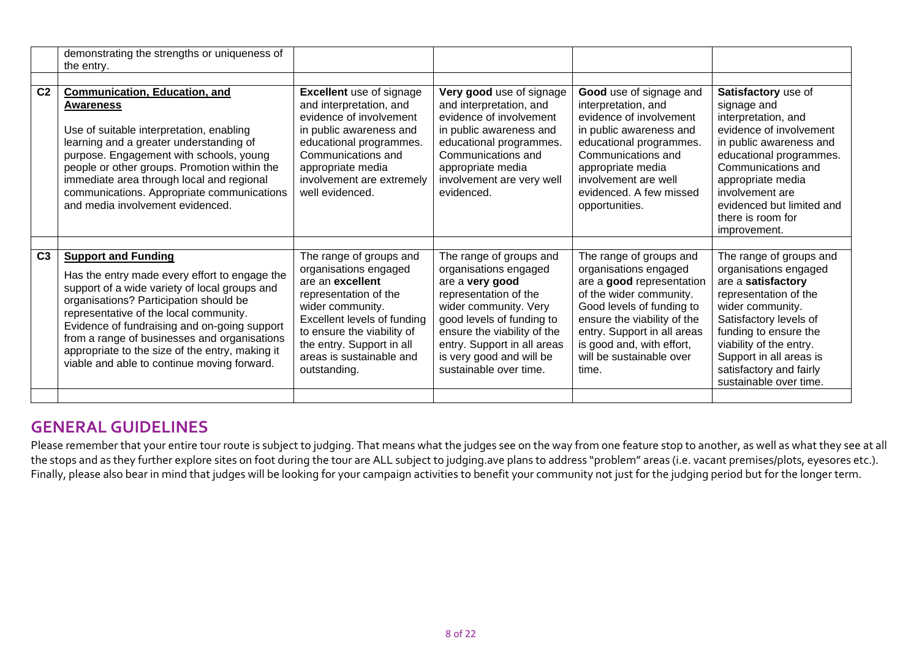|                | demonstrating the strengths or uniqueness of<br>the entry.                                                                                                                                                                                                                                                                                                                                                         |                                                                                                                                                                                                                                                         |                                                                                                                                                                                                                                                                        |                                                                                                                                                                                                                                                                       |                                                                                                                                                                                                                                                                                   |
|----------------|--------------------------------------------------------------------------------------------------------------------------------------------------------------------------------------------------------------------------------------------------------------------------------------------------------------------------------------------------------------------------------------------------------------------|---------------------------------------------------------------------------------------------------------------------------------------------------------------------------------------------------------------------------------------------------------|------------------------------------------------------------------------------------------------------------------------------------------------------------------------------------------------------------------------------------------------------------------------|-----------------------------------------------------------------------------------------------------------------------------------------------------------------------------------------------------------------------------------------------------------------------|-----------------------------------------------------------------------------------------------------------------------------------------------------------------------------------------------------------------------------------------------------------------------------------|
| C <sub>2</sub> | <b>Communication, Education, and</b>                                                                                                                                                                                                                                                                                                                                                                               | <b>Excellent</b> use of signage                                                                                                                                                                                                                         | Very good use of signage                                                                                                                                                                                                                                               | Good use of signage and                                                                                                                                                                                                                                               | Satisfactory use of                                                                                                                                                                                                                                                               |
|                | <b>Awareness</b><br>Use of suitable interpretation, enabling<br>learning and a greater understanding of<br>purpose. Engagement with schools, young<br>people or other groups. Promotion within the<br>immediate area through local and regional<br>communications. Appropriate communications<br>and media involvement evidenced.                                                                                  | and interpretation, and<br>evidence of involvement<br>in public awareness and<br>educational programmes.<br>Communications and<br>appropriate media<br>involvement are extremely<br>well evidenced.                                                     | and interpretation, and<br>evidence of involvement<br>in public awareness and<br>educational programmes.<br>Communications and<br>appropriate media<br>involvement are very well<br>evidenced.                                                                         | interpretation, and<br>evidence of involvement<br>in public awareness and<br>educational programmes.<br>Communications and<br>appropriate media<br>involvement are well<br>evidenced. A few missed<br>opportunities.                                                  | signage and<br>interpretation, and<br>evidence of involvement<br>in public awareness and<br>educational programmes.<br>Communications and<br>appropriate media<br>involvement are<br>evidenced but limited and<br>there is room for<br>improvement.                               |
|                |                                                                                                                                                                                                                                                                                                                                                                                                                    |                                                                                                                                                                                                                                                         |                                                                                                                                                                                                                                                                        |                                                                                                                                                                                                                                                                       |                                                                                                                                                                                                                                                                                   |
| C <sub>3</sub> | <b>Support and Funding</b><br>Has the entry made every effort to engage the<br>support of a wide variety of local groups and<br>organisations? Participation should be<br>representative of the local community.<br>Evidence of fundraising and on-going support<br>from a range of businesses and organisations<br>appropriate to the size of the entry, making it<br>viable and able to continue moving forward. | The range of groups and<br>organisations engaged<br>are an excellent<br>representation of the<br>wider community.<br>Excellent levels of funding<br>to ensure the viability of<br>the entry. Support in all<br>areas is sustainable and<br>outstanding. | The range of groups and<br>organisations engaged<br>are a very good<br>representation of the<br>wider community. Very<br>good levels of funding to<br>ensure the viability of the<br>entry. Support in all areas<br>is very good and will be<br>sustainable over time. | The range of groups and<br>organisations engaged<br>are a good representation<br>of the wider community.<br>Good levels of funding to<br>ensure the viability of the<br>entry. Support in all areas<br>is good and, with effort,<br>will be sustainable over<br>time. | The range of groups and<br>organisations engaged<br>are a satisfactory<br>representation of the<br>wider community.<br>Satisfactory levels of<br>funding to ensure the<br>viability of the entry.<br>Support in all areas is<br>satisfactory and fairly<br>sustainable over time. |
|                |                                                                                                                                                                                                                                                                                                                                                                                                                    |                                                                                                                                                                                                                                                         |                                                                                                                                                                                                                                                                        |                                                                                                                                                                                                                                                                       |                                                                                                                                                                                                                                                                                   |

# **GENERAL GUIDELINES**

Please remember that your entire tour route is subject to judging. That means what the judges see on the way from one feature stop to another, as well as what they see at all the stops and as they further explore sites on foot during the tour are ALL subject to judging.ave plans to address "problem" areas (i.e. vacant premises/plots, eyesores etc.). Finally, please also bear in mind that judges will be looking for your campaign activities to benefit your community not just for the judging period but for the longer term.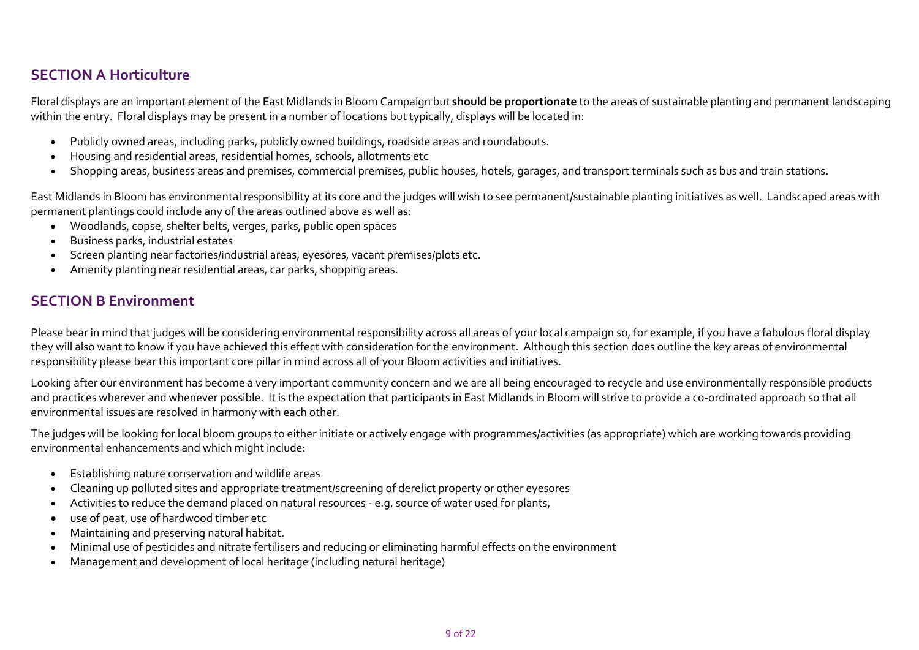### **SECTION A Horticulture**

Floral displays are an important element of the East Midlands in Bloom Campaign but **should be proportionate** to the areas of sustainable planting and permanent landscaping within the entry. Floral displays may be present in a number of locations but typically, displays will be located in:

- Publicly owned areas, including parks, publicly owned buildings, roadside areas and roundabouts.
- Housing and residential areas, residential homes, schools, allotments etc
- Shopping areas, business areas and premises, commercial premises, public houses, hotels, garages, and transport terminals such as bus and train stations.

East Midlands in Bloom has environmental responsibility at its core and the judges will wish to see permanent/sustainable planting initiatives as well. Landscaped areas with permanent plantings could include any of the areas outlined above as well as:

- Woodlands, copse, shelter belts, verges, parks, public open spaces
- Business parks, industrial estates
- Screen planting near factories/industrial areas, eyesores, vacant premises/plots etc.
- Amenity planting near residential areas, car parks, shopping areas.

### **SECTION B Environment**

Please bear in mind that judges will be considering environmental responsibility across all areas of your local campaign so, for example, if you have a fabulous floral display they will also want to know if you have achieved this effect with consideration for the environment. Although this section does outline the key areas of environmental responsibility please bear this important core pillar in mind across all of your Bloom activities and initiatives.

Looking after our environment has become a very important community concern and we are all being encouraged to recycle and use environmentally responsible products and practices wherever and whenever possible. It is the expectation that participants in East Midlands in Bloom will strive to provide a co-ordinated approach so that all environmental issues are resolved in harmony with each other.

The judges will be looking for local bloom groups to either initiate or actively engage with programmes/activities (as appropriate) which are working towards providing environmental enhancements and which might include:

- Establishing nature conservation and wildlife areas
- Cleaning up polluted sites and appropriate treatment/screening of derelict property or other eyesores
- Activities to reduce the demand placed on natural resources e.g. source of water used for plants,
- use of peat, use of hardwood timber etc
- Maintaining and preserving natural habitat.
- Minimal use of pesticides and nitrate fertilisers and reducing or eliminating harmful effects on the environment
- Management and development of local heritage (including natural heritage)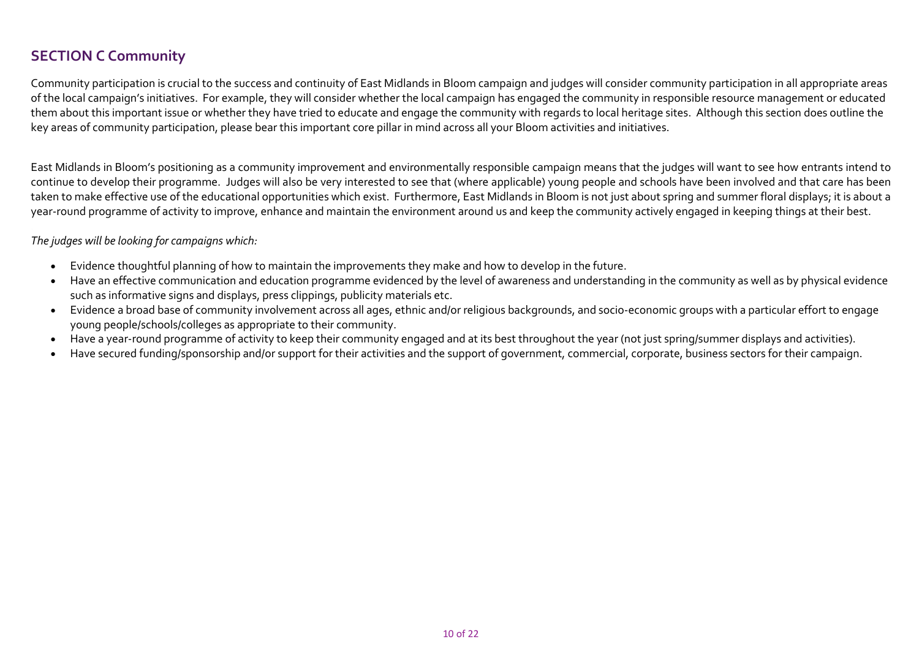### **SECTION C Community**

Community participation is crucial to the success and continuity of East Midlands in Bloom campaign and judges will consider community participation in all appropriate areas of the local campaign's initiatives. For example, they will consider whether the local campaign has engaged the community in responsible resource management or educated them about this important issue or whether they have tried to educate and engage the community with regards to local heritage sites. Although this section does outline the key areas of community participation, please bear this important core pillar in mind across all your Bloom activities and initiatives.

East Midlands in Bloom's positioning as a community improvement and environmentally responsible campaign means that the judges will want to see how entrants intend to continue to develop their programme. Judges will also be very interested to see that (where applicable) young people and schools have been involved and that care has been taken to make effective use of the educational opportunities which exist. Furthermore, East Midlands in Bloom is not just about spring and summer floral displays; it is about a year-round programme of activity to improve, enhance and maintain the environment around us and keep the community actively engaged in keeping things at their best.

*The judges will be looking for campaigns which:*

- Evidence thoughtful planning of how to maintain the improvements they make and how to develop in the future.
- Have an effective communication and education programme evidenced by the level of awareness and understanding in the community as well as by physical evidence such as informative signs and displays, press clippings, publicity materials etc.
- Evidence a broad base of community involvement across all ages, ethnic and/or religious backgrounds, and socio-economic groups with a particular effort to engage young people/schools/colleges as appropriate to their community.
- Have a year-round programme of activity to keep their community engaged and at its best throughout the year (not just spring/summer displays and activities).
- Have secured funding/sponsorship and/or support for their activities and the support of government, commercial, corporate, business sectors for their campaign.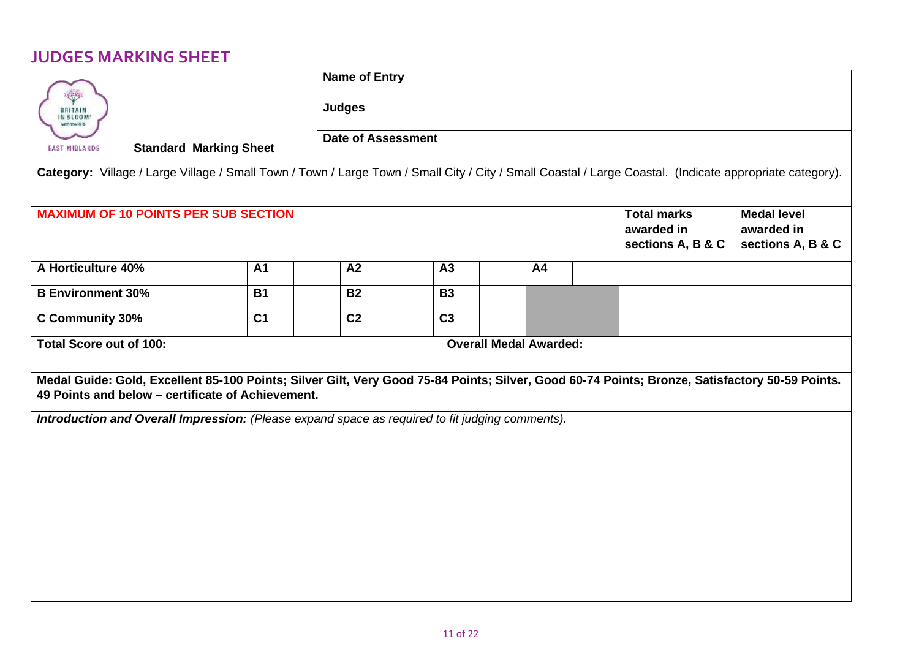## **JUDGES MARKING SHEET**

|                                                                                                                                                                                                     | <b>Name of Entry</b>                                                                                                                                     |                                                       |                |                               |  |  |  |  |
|-----------------------------------------------------------------------------------------------------------------------------------------------------------------------------------------------------|----------------------------------------------------------------------------------------------------------------------------------------------------------|-------------------------------------------------------|----------------|-------------------------------|--|--|--|--|
| BRITAIN<br>IN BLOOM'<br>wth the RIS                                                                                                                                                                 |                                                                                                                                                          | <b>Judges</b>                                         |                |                               |  |  |  |  |
| <b>Date of Assessment</b><br><b>Standard Marking Sheet</b><br><b>EAST MIDLANDS</b>                                                                                                                  |                                                                                                                                                          |                                                       |                |                               |  |  |  |  |
|                                                                                                                                                                                                     | Category: Village / Large Village / Small Town / Town / Large Town / Small City / City / Small Coastal / Large Coastal. (Indicate appropriate category). |                                                       |                |                               |  |  |  |  |
| <b>MAXIMUM OF 10 POINTS PER SUB SECTION</b>                                                                                                                                                         | <b>Total marks</b><br>awarded in<br>sections A, B & C                                                                                                    | <b>Medal level</b><br>awarded in<br>sections A, B & C |                |                               |  |  |  |  |
| A Horticulture 40%                                                                                                                                                                                  | <b>A1</b>                                                                                                                                                | A2                                                    | A3             | A <sub>4</sub>                |  |  |  |  |
| <b>B Environment 30%</b>                                                                                                                                                                            | <b>B1</b>                                                                                                                                                | <b>B2</b>                                             | <b>B3</b>      |                               |  |  |  |  |
| <b>C Community 30%</b>                                                                                                                                                                              | C <sub>1</sub>                                                                                                                                           | C <sub>2</sub>                                        | C <sub>3</sub> |                               |  |  |  |  |
| <b>Total Score out of 100:</b>                                                                                                                                                                      |                                                                                                                                                          |                                                       |                | <b>Overall Medal Awarded:</b> |  |  |  |  |
| Medal Guide: Gold, Excellent 85-100 Points; Silver Gilt, Very Good 75-84 Points; Silver, Good 60-74 Points; Bronze, Satisfactory 50-59 Points.<br>49 Points and below - certificate of Achievement. |                                                                                                                                                          |                                                       |                |                               |  |  |  |  |
| Introduction and Overall Impression: (Please expand space as required to fit judging comments).                                                                                                     |                                                                                                                                                          |                                                       |                |                               |  |  |  |  |
|                                                                                                                                                                                                     |                                                                                                                                                          |                                                       |                |                               |  |  |  |  |
|                                                                                                                                                                                                     |                                                                                                                                                          |                                                       |                |                               |  |  |  |  |
|                                                                                                                                                                                                     |                                                                                                                                                          |                                                       |                |                               |  |  |  |  |
|                                                                                                                                                                                                     |                                                                                                                                                          |                                                       |                |                               |  |  |  |  |
|                                                                                                                                                                                                     |                                                                                                                                                          |                                                       |                |                               |  |  |  |  |
|                                                                                                                                                                                                     |                                                                                                                                                          |                                                       |                |                               |  |  |  |  |
|                                                                                                                                                                                                     |                                                                                                                                                          |                                                       |                |                               |  |  |  |  |
|                                                                                                                                                                                                     |                                                                                                                                                          |                                                       |                |                               |  |  |  |  |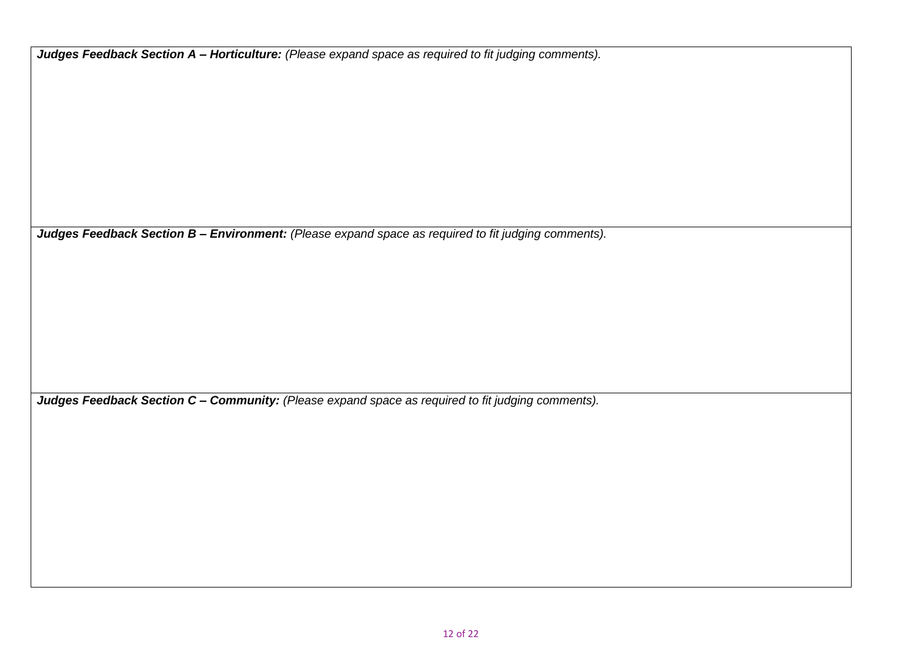*Judges Feedback Section A – Horticulture: (Please expand space as required to fit judging comments).*

*Judges Feedback Section B – Environment: (Please expand space as required to fit judging comments).*

*Judges Feedback Section C – Community: (Please expand space as required to fit judging comments).*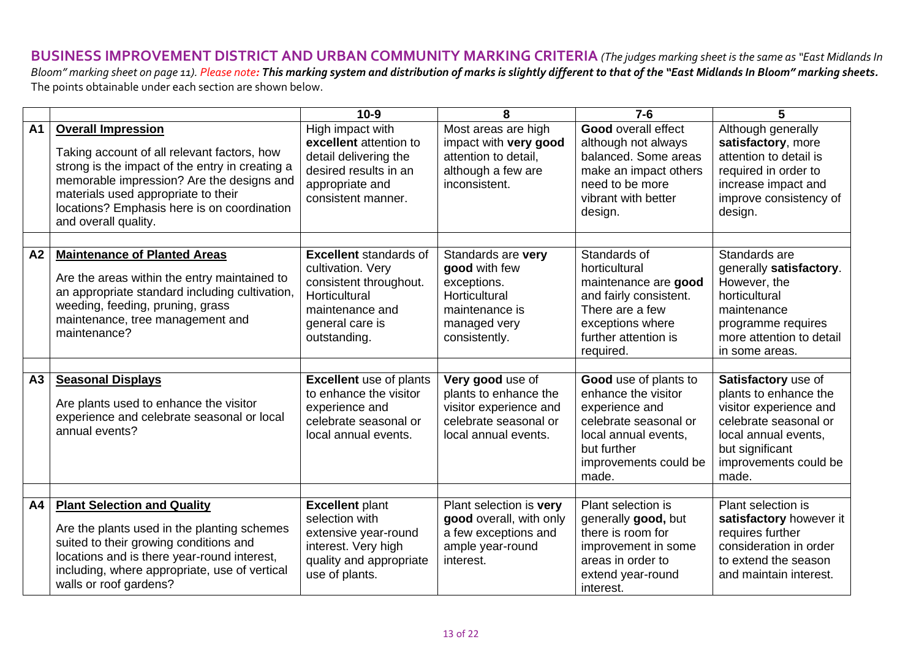#### BUSINESS IMPROVEMENT DISTRICT AND URBAN COMMUNITY MARKING CRITERIA (The judges marking sheet is the same as "East Midlands In Bloom" marking sheet on page 11). Please note: This marking system and distribution of marks is slightly different to that of the "East Midlands In Bloom" marking sheets. The points obtainable under each section are shown below.

|           |                                                                                                                                                                                                                                                                                        | $10-9$                                                                                                                                              | 8                                                                                                                      | $7 - 6$                                                                                                                                                          | 5                                                                                                                                                                            |
|-----------|----------------------------------------------------------------------------------------------------------------------------------------------------------------------------------------------------------------------------------------------------------------------------------------|-----------------------------------------------------------------------------------------------------------------------------------------------------|------------------------------------------------------------------------------------------------------------------------|------------------------------------------------------------------------------------------------------------------------------------------------------------------|------------------------------------------------------------------------------------------------------------------------------------------------------------------------------|
| <b>A1</b> | <b>Overall Impression</b><br>Taking account of all relevant factors, how<br>strong is the impact of the entry in creating a<br>memorable impression? Are the designs and<br>materials used appropriate to their<br>locations? Emphasis here is on coordination<br>and overall quality. | High impact with<br>excellent attention to<br>detail delivering the<br>desired results in an<br>appropriate and<br>consistent manner.               | Most areas are high<br>impact with very good<br>attention to detail,<br>although a few are<br>inconsistent.            | <b>Good overall effect</b><br>although not always<br>balanced. Some areas<br>make an impact others<br>need to be more<br>vibrant with better<br>design.          | Although generally<br>satisfactory, more<br>attention to detail is<br>required in order to<br>increase impact and<br>improve consistency of<br>design.                       |
| A2        | <b>Maintenance of Planted Areas</b><br>Are the areas within the entry maintained to<br>an appropriate standard including cultivation,<br>weeding, feeding, pruning, grass<br>maintenance, tree management and<br>maintenance?                                                          | <b>Excellent standards of</b><br>cultivation. Very<br>consistent throughout.<br>Horticultural<br>maintenance and<br>general care is<br>outstanding. | Standards are very<br>good with few<br>exceptions.<br>Horticultural<br>maintenance is<br>managed very<br>consistently. | Standards of<br>horticultural<br>maintenance are good<br>and fairly consistent.<br>There are a few<br>exceptions where<br>further attention is<br>required.      | Standards are<br>generally satisfactory.<br>However, the<br>horticultural<br>maintenance<br>programme requires<br>more attention to detail<br>in some areas.                 |
| A3        | <b>Seasonal Displays</b><br>Are plants used to enhance the visitor<br>experience and celebrate seasonal or local<br>annual events?                                                                                                                                                     | <b>Excellent</b> use of plants<br>to enhance the visitor<br>experience and<br>celebrate seasonal or<br>local annual events.                         | Very good use of<br>plants to enhance the<br>visitor experience and<br>celebrate seasonal or<br>local annual events.   | Good use of plants to<br>enhance the visitor<br>experience and<br>celebrate seasonal or<br>local annual events,<br>but further<br>improvements could be<br>made. | Satisfactory use of<br>plants to enhance the<br>visitor experience and<br>celebrate seasonal or<br>local annual events,<br>but significant<br>improvements could be<br>made. |
| A4        | <b>Plant Selection and Quality</b><br>Are the plants used in the planting schemes<br>suited to their growing conditions and<br>locations and is there year-round interest,<br>including, where appropriate, use of vertical<br>walls or roof gardens?                                  | <b>Excellent plant</b><br>selection with<br>extensive year-round<br>interest. Very high<br>quality and appropriate<br>use of plants.                | Plant selection is very<br>good overall, with only<br>a few exceptions and<br>ample year-round<br>interest.            | Plant selection is<br>generally good, but<br>there is room for<br>improvement in some<br>areas in order to<br>extend year-round<br>interest.                     | Plant selection is<br>satisfactory however it<br>requires further<br>consideration in order<br>to extend the season<br>and maintain interest.                                |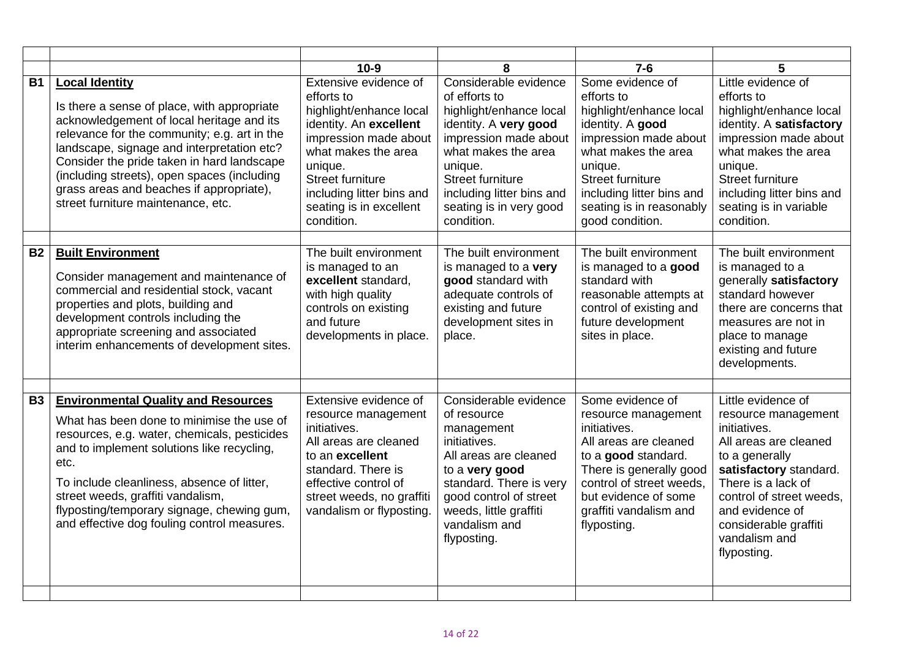|           |                                                                                                                                                                                                                                                                                                                                                                                                | $10-9$                                                                                                                                                                                                                                        | 8                                                                                                                                                                                                                                                      | $7-6$                                                                                                                                                                                                                                           | 5                                                                                                                                                                                                                                                            |
|-----------|------------------------------------------------------------------------------------------------------------------------------------------------------------------------------------------------------------------------------------------------------------------------------------------------------------------------------------------------------------------------------------------------|-----------------------------------------------------------------------------------------------------------------------------------------------------------------------------------------------------------------------------------------------|--------------------------------------------------------------------------------------------------------------------------------------------------------------------------------------------------------------------------------------------------------|-------------------------------------------------------------------------------------------------------------------------------------------------------------------------------------------------------------------------------------------------|--------------------------------------------------------------------------------------------------------------------------------------------------------------------------------------------------------------------------------------------------------------|
| <b>B1</b> | <b>Local Identity</b><br>Is there a sense of place, with appropriate<br>acknowledgement of local heritage and its<br>relevance for the community; e.g. art in the<br>landscape, signage and interpretation etc?<br>Consider the pride taken in hard landscape<br>(including streets), open spaces (including<br>grass areas and beaches if appropriate),<br>street furniture maintenance, etc. | Extensive evidence of<br>efforts to<br>highlight/enhance local<br>identity. An excellent<br>impression made about<br>what makes the area<br>unique.<br>Street furniture<br>including litter bins and<br>seating is in excellent<br>condition. | Considerable evidence<br>of efforts to<br>highlight/enhance local<br>identity. A very good<br>impression made about<br>what makes the area<br>unique.<br><b>Street furniture</b><br>including litter bins and<br>seating is in very good<br>condition. | Some evidence of<br>efforts to<br>highlight/enhance local<br>identity. A good<br>impression made about<br>what makes the area<br>unique.<br><b>Street furniture</b><br>including litter bins and<br>seating is in reasonably<br>good condition. | Little evidence of<br>efforts to<br>highlight/enhance local<br>identity. A satisfactory<br>impression made about<br>what makes the area<br>unique.<br><b>Street furniture</b><br>including litter bins and<br>seating is in variable<br>condition.           |
| <b>B2</b> | <b>Built Environment</b><br>Consider management and maintenance of<br>commercial and residential stock, vacant<br>properties and plots, building and<br>development controls including the<br>appropriate screening and associated<br>interim enhancements of development sites.                                                                                                               | The built environment<br>is managed to an<br>excellent standard,<br>with high quality<br>controls on existing<br>and future<br>developments in place.                                                                                         | The built environment<br>is managed to a very<br>good standard with<br>adequate controls of<br>existing and future<br>development sites in<br>place.                                                                                                   | The built environment<br>is managed to a good<br>standard with<br>reasonable attempts at<br>control of existing and<br>future development<br>sites in place.                                                                                    | The built environment<br>is managed to a<br>generally satisfactory<br>standard however<br>there are concerns that<br>measures are not in<br>place to manage<br>existing and future<br>developments.                                                          |
| <b>B3</b> | <b>Environmental Quality and Resources</b><br>What has been done to minimise the use of<br>resources, e.g. water, chemicals, pesticides<br>and to implement solutions like recycling,<br>etc.<br>To include cleanliness, absence of litter,<br>street weeds, graffiti vandalism,<br>flyposting/temporary signage, chewing gum,<br>and effective dog fouling control measures.                  | Extensive evidence of<br>resource management<br>initiatives.<br>All areas are cleaned<br>to an excellent<br>standard. There is<br>effective control of<br>street weeds, no graffiti<br>vandalism or flyposting.                               | Considerable evidence<br>of resource<br>management<br>initiatives.<br>All areas are cleaned<br>to a very good<br>standard. There is very<br>good control of street<br>weeds, little graffiti<br>vandalism and<br>flyposting.                           | Some evidence of<br>resource management<br>initiatives.<br>All areas are cleaned<br>to a good standard.<br>There is generally good<br>control of street weeds.<br>but evidence of some<br>graffiti vandalism and<br>flyposting.                 | Little evidence of<br>resource management<br>initiatives.<br>All areas are cleaned<br>to a generally<br>satisfactory standard.<br>There is a lack of<br>control of street weeds.<br>and evidence of<br>considerable graffiti<br>vandalism and<br>flyposting. |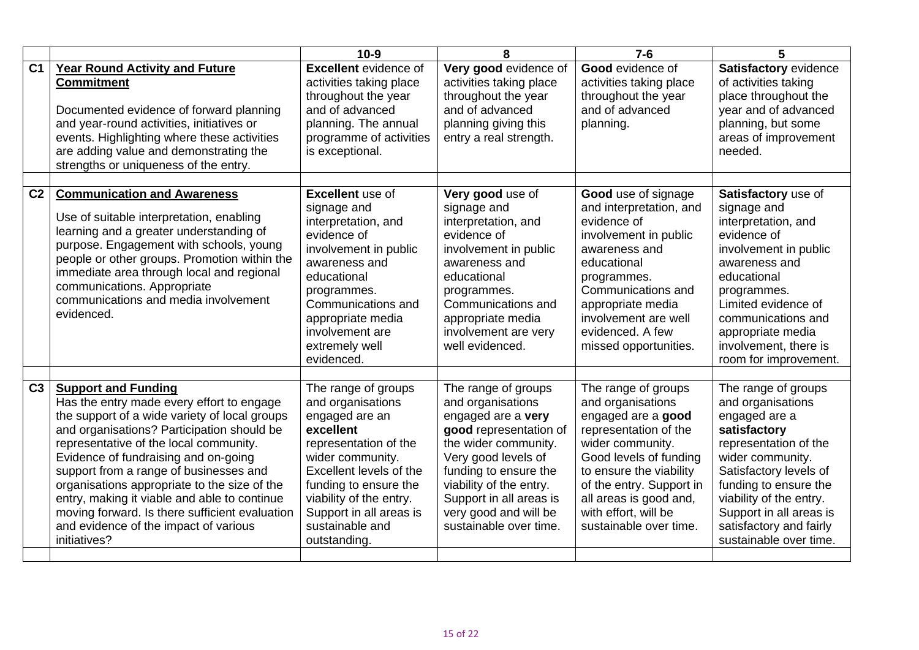|                |                                                                                                                                                                                                                                                                                                                                                                                                                                                                                                               | $10-9$                                                                                                                                                                                                                                                            | 8                                                                                                                                                                                                                                                                         | $7-6$                                                                                                                                                                                                                                                                    | 5                                                                                                                                                                                                                                                                                    |
|----------------|---------------------------------------------------------------------------------------------------------------------------------------------------------------------------------------------------------------------------------------------------------------------------------------------------------------------------------------------------------------------------------------------------------------------------------------------------------------------------------------------------------------|-------------------------------------------------------------------------------------------------------------------------------------------------------------------------------------------------------------------------------------------------------------------|---------------------------------------------------------------------------------------------------------------------------------------------------------------------------------------------------------------------------------------------------------------------------|--------------------------------------------------------------------------------------------------------------------------------------------------------------------------------------------------------------------------------------------------------------------------|--------------------------------------------------------------------------------------------------------------------------------------------------------------------------------------------------------------------------------------------------------------------------------------|
| C <sub>1</sub> | <b>Year Round Activity and Future</b><br><b>Commitment</b><br>Documented evidence of forward planning<br>and year-round activities, initiatives or<br>events. Highlighting where these activities<br>are adding value and demonstrating the<br>strengths or uniqueness of the entry.                                                                                                                                                                                                                          | <b>Excellent</b> evidence of<br>activities taking place<br>throughout the year<br>and of advanced<br>planning. The annual<br>programme of activities<br>is exceptional.                                                                                           | Very good evidence of<br>activities taking place<br>throughout the year<br>and of advanced<br>planning giving this<br>entry a real strength.                                                                                                                              | Good evidence of<br>activities taking place<br>throughout the year<br>and of advanced<br>planning.                                                                                                                                                                       | Satisfactory evidence<br>of activities taking<br>place throughout the<br>year and of advanced<br>planning, but some<br>areas of improvement<br>needed.                                                                                                                               |
| C <sub>2</sub> | <b>Communication and Awareness</b><br>Use of suitable interpretation, enabling<br>learning and a greater understanding of<br>purpose. Engagement with schools, young<br>people or other groups. Promotion within the<br>immediate area through local and regional<br>communications. Appropriate<br>communications and media involvement<br>evidenced.                                                                                                                                                        | <b>Excellent</b> use of<br>signage and<br>interpretation, and<br>evidence of<br>involvement in public<br>awareness and<br>educational<br>programmes.<br>Communications and<br>appropriate media<br>involvement are<br>extremely well<br>evidenced.                | Very good use of<br>signage and<br>interpretation, and<br>evidence of<br>involvement in public<br>awareness and<br>educational<br>programmes.<br>Communications and<br>appropriate media<br>involvement are very<br>well evidenced.                                       | Good use of signage<br>and interpretation, and<br>evidence of<br>involvement in public<br>awareness and<br>educational<br>programmes.<br>Communications and<br>appropriate media<br>involvement are well<br>evidenced. A few<br>missed opportunities.                    | Satisfactory use of<br>signage and<br>interpretation, and<br>evidence of<br>involvement in public<br>awareness and<br>educational<br>programmes.<br>Limited evidence of<br>communications and<br>appropriate media<br>involvement, there is<br>room for improvement.                 |
| C <sub>3</sub> | <b>Support and Funding</b><br>Has the entry made every effort to engage<br>the support of a wide variety of local groups<br>and organisations? Participation should be<br>representative of the local community.<br>Evidence of fundraising and on-going<br>support from a range of businesses and<br>organisations appropriate to the size of the<br>entry, making it viable and able to continue<br>moving forward. Is there sufficient evaluation<br>and evidence of the impact of various<br>initiatives? | The range of groups<br>and organisations<br>engaged are an<br>excellent<br>representation of the<br>wider community.<br>Excellent levels of the<br>funding to ensure the<br>viability of the entry.<br>Support in all areas is<br>sustainable and<br>outstanding. | The range of groups<br>and organisations<br>engaged are a very<br>good representation of<br>the wider community.<br>Very good levels of<br>funding to ensure the<br>viability of the entry.<br>Support in all areas is<br>very good and will be<br>sustainable over time. | The range of groups<br>and organisations<br>engaged are a good<br>representation of the<br>wider community.<br>Good levels of funding<br>to ensure the viability<br>of the entry. Support in<br>all areas is good and,<br>with effort, will be<br>sustainable over time. | The range of groups<br>and organisations<br>engaged are a<br>satisfactory<br>representation of the<br>wider community.<br>Satisfactory levels of<br>funding to ensure the<br>viability of the entry.<br>Support in all areas is<br>satisfactory and fairly<br>sustainable over time. |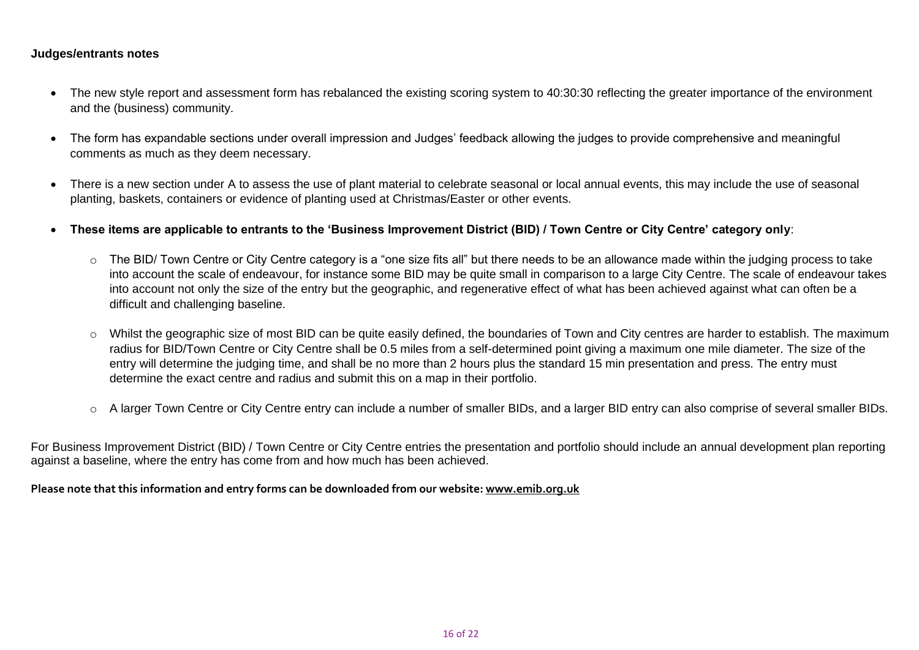#### **Judges/entrants notes**

- The new style report and assessment form has rebalanced the existing scoring system to 40:30:30 reflecting the greater importance of the environment and the (business) community.
- The form has expandable sections under overall impression and Judges' feedback allowing the judges to provide comprehensive and meaningful comments as much as they deem necessary.
- There is a new section under A to assess the use of plant material to celebrate seasonal or local annual events, this may include the use of seasonal planting, baskets, containers or evidence of planting used at Christmas/Easter or other events.
- **These items are applicable to entrants to the 'Business Improvement District (BID) / Town Centre or City Centre' category only**:
	- $\circ$  The BID/ Town Centre or City Centre category is a "one size fits all" but there needs to be an allowance made within the judging process to take into account the scale of endeavour, for instance some BID may be quite small in comparison to a large City Centre. The scale of endeavour takes into account not only the size of the entry but the geographic, and regenerative effect of what has been achieved against what can often be a difficult and challenging baseline.
	- o Whilst the geographic size of most BID can be quite easily defined, the boundaries of Town and City centres are harder to establish. The maximum radius for BID/Town Centre or City Centre shall be 0.5 miles from a self-determined point giving a maximum one mile diameter. The size of the entry will determine the judging time, and shall be no more than 2 hours plus the standard 15 min presentation and press. The entry must determine the exact centre and radius and submit this on a map in their portfolio.
	- o A larger Town Centre or City Centre entry can include a number of smaller BIDs, and a larger BID entry can also comprise of several smaller BIDs.

For Business Improvement District (BID) / Town Centre or City Centre entries the presentation and portfolio should include an annual development plan reporting against a baseline, where the entry has come from and how much has been achieved.

**Please note that this information and entry forms can be downloaded from our website: [www.emib.org.uk](http://www.emib.org.uk/)**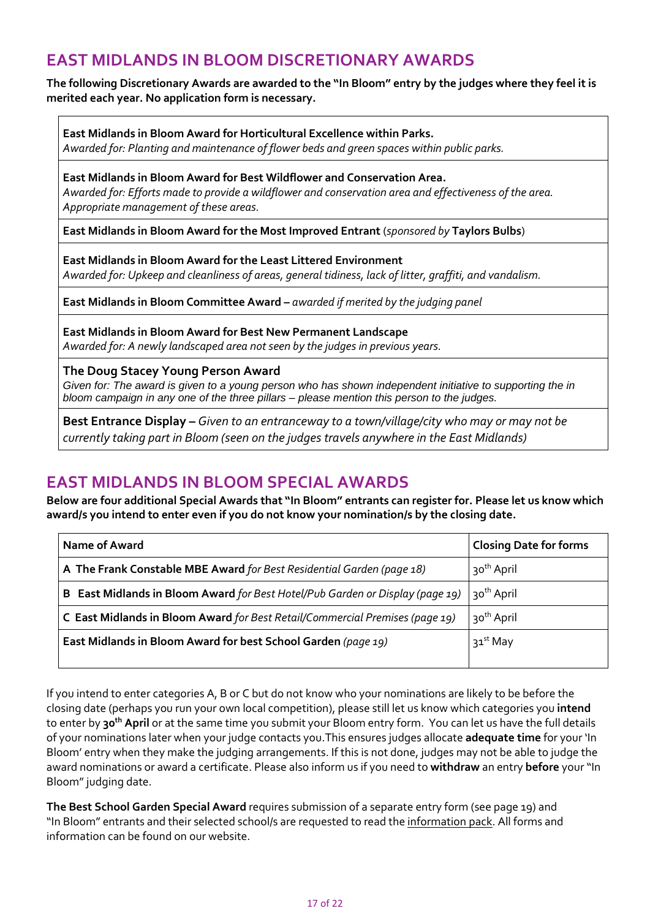# **EAST MIDLANDS IN BLOOM DISCRETIONARY AWARDS**

#### The following Discretionary Awards are awarded to the "In Bloom" entry by the judges where they feel it is **merited each year. No application form is necessary.**

**East Midlands in Bloom Award for Horticultural Excellence within Parks.**  *Awarded for: Planting and maintenance of flower beds and green spaces within public parks.*

**East Midlands in Bloom Award for Best Wildflower and Conservation Area.**  *Awarded for: Efforts made to provide a wildflower and conservation area and effectiveness of the area. Appropriate management of these areas.*

**East Midlands in Bloom Award for the Most Improved Entrant** (*sponsored by* **Taylors Bulbs**)

**East Midlands in Bloom Award for the Least Littered Environment**  *Awarded for: Upkeep and cleanliness of areas, general tidiness, lack of litter, graffiti, and vandalism.*

**East Midlands in Bloom Committee Award –** *awarded if merited by the judging panel*

**East Midlands in Bloom Award for Best New Permanent Landscape** *Awarded for: A newly landscaped area notseen by the judges in previous years.*

#### **The Doug Stacey Young Person Award**

Given for: The award is given to a young person who has shown independent initiative to supporting the in *bloom campaign in any one of the three pillars – please mention this person to the judges.*

**Best Entrance Display –** *Given to an entranceway to a town/village/city who may or may not be currently taking part in Bloom (seen on the judges travels anywhere in the East Midlands)*

# **EAST MIDLANDS IN BLOOM SPECIAL AWARDS**

Below are four additional Special Awards that "In Bloom" entrants can register for. Please let us know which **award/s you intend to enter even if you do not know your nomination/s by the closing date.**

| Name of Award                                                                 | <b>Closing Date for forms</b> |
|-------------------------------------------------------------------------------|-------------------------------|
| A The Frank Constable MBE Award for Best Residential Garden (page 18)         | 30 <sup>th</sup> April        |
| B East Midlands in Bloom Award for Best Hotel/Pub Garden or Display (page 19) | 30 <sup>th</sup> April        |
| C East Midlands in Bloom Award for Best Retail/Commercial Premises (page 19)  | 30 <sup>th</sup> April        |
| East Midlands in Bloom Award for best School Garden (page 19)                 | 31 <sup>st</sup> May          |

If you intend to enter categories A, B or C but do not know who your nominations are likely to be before the closing date (perhaps you run your own local competition), please still let us know which categories you **intend** to enter by **30th April** or at the same time you submit your Bloom entry form. You can let us have the full details of your nominations later when your judge contacts you.This ensures judges allocate **adequate time** for your 'In Bloom' entry when they make the judging arrangements. If this is not done, judges may not be able to judge the award nominations or award a certificate. Please also inform us if you need to **withdraw** an entry **before** your "In Bloom" judging date.

**The Best School Garden Special Award** requires submission of a separate entry form (see page 19) and "In Bloom" entrants and their selected school/s are requested to read the information pack. All forms and information can be found on our website.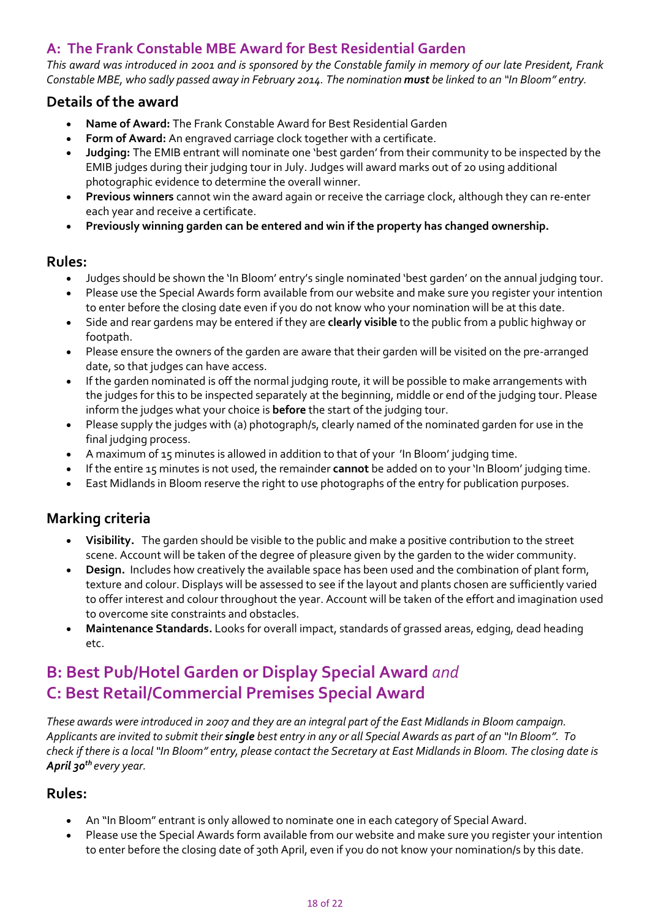## **A: The Frank Constable MBE Award for Best Residential Garden**

This award was introduced in 2001 and is sponsored by the Constable family in memory of our late President, Frank Constable MBE, who sadly passed away in February 2014. The nomination must be linked to an "In Bloom" entry.

### **Details of the award**

- **Name of Award:** The Frank Constable Award for Best Residential Garden
- **Form of Award:** An engraved carriage clock together with a certificate.
- **Judging:** The EMIB entrant will nominate one 'best garden' from their community to be inspected by the EMIB judges during their judging tour in July. Judges will award marks out of 20 using additional photographic evidence to determine the overall winner.
- **Previous winners** cannot win the award again or receive the carriage clock, although they can re-enter each year and receive a certificate.
- **Previously winning garden can be entered and win if the property has changed ownership.**

### **Rules:**

- Judges should be shown the 'In Bloom' entry's single nominated 'best garden' on the annual judging tour.
- Please use the Special Awards form available from our website and make sure you register your intention to enter before the closing date even if you do not know who your nomination will be at this date.
- Side and rear gardens may be entered if they are **clearly visible** to the public from a public highway or footpath.
- Please ensure the owners of the garden are aware that their garden will be visited on the pre-arranged date, so that judges can have access.
- If the garden nominated is off the normal judging route, it will be possible to make arrangements with the judges for this to be inspected separately at the beginning, middle or end of the judging tour. Please inform the judges what your choice is **before** the start of the judging tour.
- Please supply the judges with (a) photograph/s, clearly named of the nominated garden for use in the final judging process.
- A maximum of 15 minutes is allowed in addition to that of your 'In Bloom' judging time.
- If the entire 15 minutes is not used, the remainder **cannot** be added on to your 'In Bloom' judging time.
- East Midlands in Bloom reserve the right to use photographs of the entry for publication purposes.

### **Marking criteria**

- **Visibility.** The garden should be visible to the public and make a positive contribution to the street scene. Account will be taken of the degree of pleasure given by the garden to the wider community.
- **Design.** Includes how creatively the available space has been used and the combination of plant form, texture and colour. Displays will be assessed to see if the layout and plants chosen are sufficiently varied to offer interest and colour throughout the year. Account will be taken of the effort and imagination used to overcome site constraints and obstacles.
- **Maintenance Standards.** Looks for overall impact, standards of grassed areas, edging, dead heading etc.

# **B: Best Pub/Hotel Garden or Display Special Award** *and* **C: Best Retail/Commercial Premises Special Award**

These awards were introduced in 2007 and they are an integral part of the East Midlands in Bloom campaign. Applicants are invited to submit their single best entry in any or all Special Awards as part of an "In Bloom". To check if there is a local "In Bloom" entry, please contact the Secretary at East Midlands in Bloom. The closing date is *April 30th every year.*

### **Rules:**

- An "In Bloom" entrant is only allowed to nominate one in each category of Special Award.
- Please use the Special Awards form available from our website and make sure you register your intention to enter before the closing date of 30th April, even if you do not know your nomination/s by this date.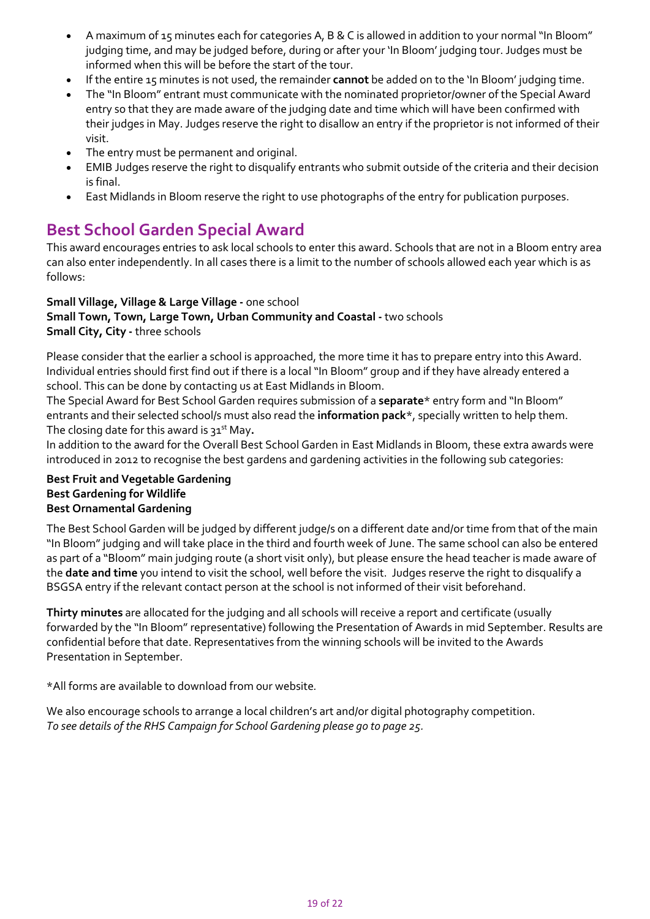- A maximum of 15 minutes each for categories A, B & C is allowed in addition to your normal "In Bloom" judging time, and may be judged before, during or after your 'In Bloom' judging tour. Judges must be informed when this will be before the start of the tour.
- If the entire 15 minutes is not used, the remainder **cannot** be added on to the 'In Bloom' judging time.
- The "In Bloom" entrant must communicate with the nominated proprietor/owner of the Special Award entry so that they are made aware of the judging date and time which will have been confirmed with their judges in May. Judges reserve the right to disallow an entry if the proprietor is not informed of their visit.
- The entry must be permanent and original.
- EMIB Judges reserve the right to disqualify entrants who submit outside of the criteria and their decision is final.
- East Midlands in Bloom reserve the right to use photographs of the entry for publication purposes.

# **Best School Garden Special Award**

This award encourages entries to ask local schools to enter this award. Schools that are not in a Bloom entry area can also enter independently. In all cases there is a limit to the number of schools allowed each year which is as follows:

#### **Small Village, Village & Large Village -** one school

**Small Town, Town, Large Town, Urban Community and Coastal -** two schools **Small City, City -** three schools

Please consider that the earlier a school is approached, the more time it has to prepare entry into this Award. Individual entries should first find out if there is a local "In Bloom" group and if they have already entered a school. This can be done by contacting us at East Midlands in Bloom.

The Special Award for Best School Garden requires submission of a **separate**\* entry form and "In Bloom" entrants and their selected school/s must also read the **information pack**\*, specially written to help them. The closing date for this award is 31<sup>st</sup> May.

In addition to the award for the Overall Best School Garden in East Midlands in Bloom, these extra awards were introduced in 2012 to recognise the best gardens and gardening activities in the following sub categories:

#### **Best Fruit and Vegetable Gardening Best Gardening for Wildlife Best Ornamental Gardening**

The Best School Garden will be judged by different judge/s on a different date and/or time from that of the main "In Bloom"judging and will take place in the third and fourth week of June. The same school can also be entered as part of a "Bloom" main judging route (a short visit only), but please ensure the head teacher is made aware of the **date and time** you intend to visit the school, well before the visit. Judges reserve the right to disqualify a BSGSA entry if the relevant contact person at the school is not informed of their visit beforehand.

**Thirty minutes** are allocated for the judging and all schools will receive a report and certificate (usually forwarded by the "In Bloom"representative) following the Presentation of Awards in mid September. Results are confidential before that date. Representatives from the winning schools will be invited to the Awards Presentation in September.

\*All forms are available to download from our website*.*

We also encourage schools to arrange a local children's art and/or digital photography competition. *To see details of the RHS Campaign for School Gardening please go to page 25.*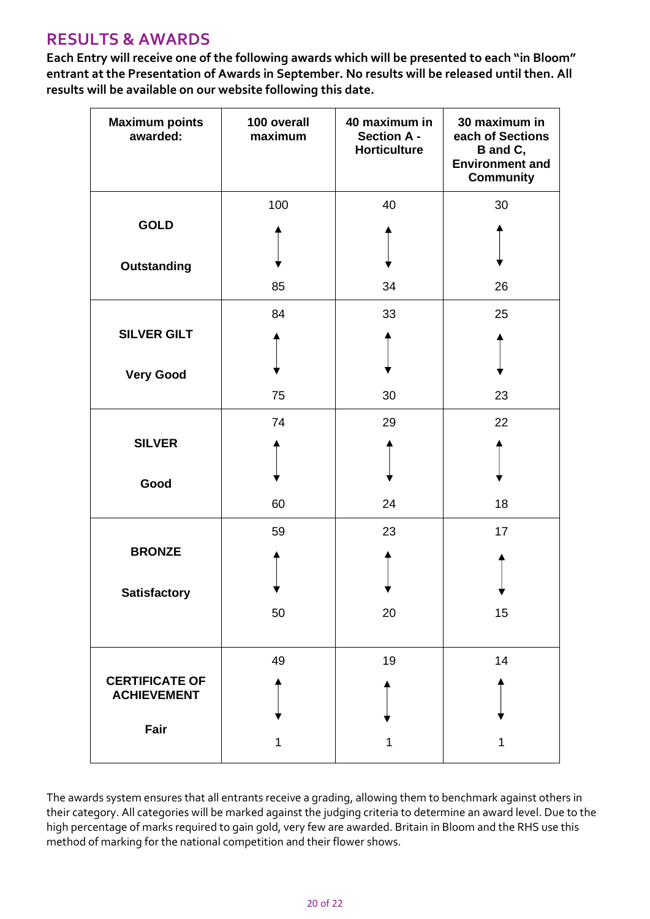# **RESULTS & AWARDS**

Each Entry will receive one of the following awards which will be presented to each "in Bloom" **entrant at the Presentation of Awards in September. No results will be released until then. All results will be available on our website following this date.**

| <b>Maximum points</b><br>awarded:           | 100 overall<br>maximum | 40 maximum in<br><b>Section A -</b><br><b>Horticulture</b> | 30 maximum in<br>each of Sections<br>B and C,<br><b>Environment and</b><br><b>Community</b> |
|---------------------------------------------|------------------------|------------------------------------------------------------|---------------------------------------------------------------------------------------------|
|                                             | 100                    | 40                                                         | 30                                                                                          |
| <b>GOLD</b>                                 |                        |                                                            |                                                                                             |
| <b>Outstanding</b>                          |                        |                                                            |                                                                                             |
|                                             | 85                     | 34                                                         | 26                                                                                          |
|                                             | 84                     | 33                                                         | 25                                                                                          |
| <b>SILVER GILT</b>                          |                        |                                                            |                                                                                             |
| <b>Very Good</b>                            |                        |                                                            |                                                                                             |
|                                             | 75                     | 30                                                         | 23                                                                                          |
|                                             | 74                     | 29                                                         | 22                                                                                          |
| <b>SILVER</b>                               |                        |                                                            |                                                                                             |
| Good                                        |                        |                                                            |                                                                                             |
|                                             | 60                     | 24                                                         | 18                                                                                          |
|                                             | 59                     | 23                                                         | 17                                                                                          |
| <b>BRONZE</b>                               |                        |                                                            |                                                                                             |
| <b>Satisfactory</b>                         |                        |                                                            |                                                                                             |
|                                             | 50                     | 20                                                         | 15                                                                                          |
|                                             | 49                     | 19                                                         | 14                                                                                          |
| <b>CERTIFICATE OF</b><br><b>ACHIEVEMENT</b> |                        |                                                            |                                                                                             |
|                                             |                        |                                                            |                                                                                             |
| Fair                                        | 1                      | 1                                                          | 1                                                                                           |

The awards system ensures that all entrants receive a grading, allowing them to benchmark against others in their category. All categories will be marked against the judging criteria to determine an award level. Due to the high percentage of marks required to gain gold, very few are awarded. Britain in Bloom and the RHS use this method of marking for the national competition and their flower shows.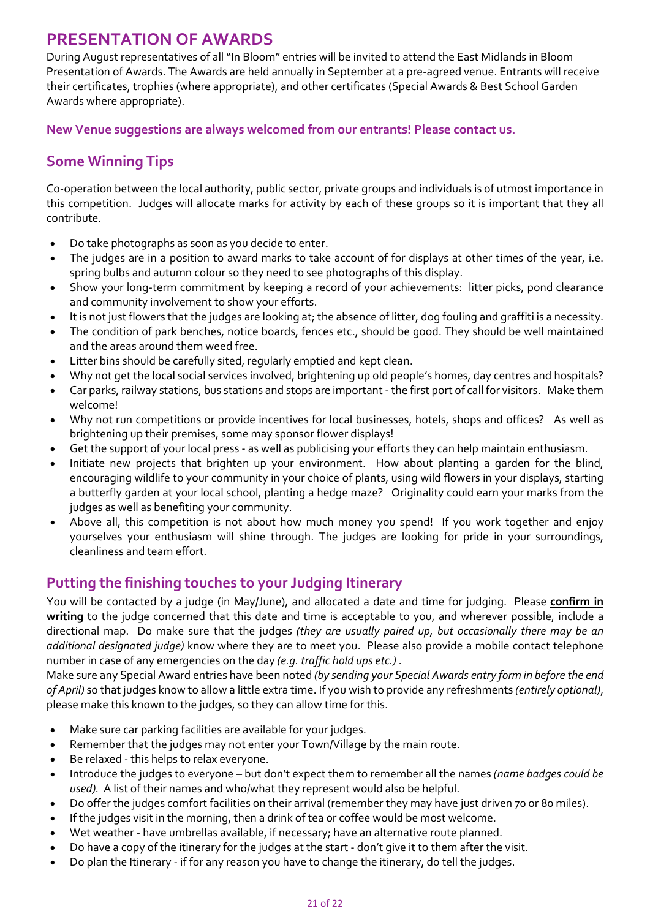# **PRESENTATION OF AWARDS**

During August representatives of all"In Bloom" entries will be invited to attend the East Midlands in Bloom Presentation of Awards. The Awards are held annually in September at a pre-agreed venue. Entrants will receive their certificates, trophies (where appropriate), and other certificates (Special Awards & Best School Garden Awards where appropriate).

**New Venue suggestions are always welcomed from our entrants! Please contact us.**

## **Some Winning Tips**

Co-operation between the local authority, public sector, private groups and individuals is of utmost importance in this competition. Judges will allocate marks for activity by each of these groups so it is important that they all contribute.

- Do take photographs as soon as you decide to enter.
- The judges are in a position to award marks to take account of for displays at other times of the year, i.e. spring bulbs and autumn colour so they need to see photographs of this display.
- Show your long-term commitment by keeping a record of your achievements: litter picks, pond clearance and community involvement to show your efforts.
- It is not just flowers that the judges are looking at; the absence of litter, dog fouling and graffiti is a necessity.
- The condition of park benches, notice boards, fences etc., should be good. They should be well maintained and the areas around them weed free.
- Litter bins should be carefully sited, regularly emptied and kept clean.
- Why not get the local social services involved, brightening up old people's homes, day centres and hospitals?
- Car parks, railway stations, bus stations and stops are important the first port of call for visitors. Make them welcome!
- Why not run competitions or provide incentives for local businesses, hotels, shops and offices? As well as brightening up their premises, some may sponsor flower displays!
- Get the support of your local press as well as publicising your efforts they can help maintain enthusiasm.
- Initiate new projects that brighten up your environment. How about planting a garden for the blind, encouraging wildlife to your community in your choice of plants, using wild flowers in your displays, starting a butterfly garden at your local school, planting a hedge maze? Originality could earn your marks from the judges as well as benefiting your community.
- Above all, this competition is not about how much money you spend! If you work together and enjoy yourselves your enthusiasm will shine through. The judges are looking for pride in your surroundings, cleanliness and team effort.

### **Putting the finishing touches to your Judging Itinerary**

You will be contacted by a judge (in May/June), and allocated a date and time for judging. Please **confirm in writing** to the judge concerned that this date and time is acceptable to you, and wherever possible, include a directional map. Do make sure that the judges *(they are usually paired up, but occasionally there may be an additional designated judge)* know where they are to meet you. Please also provide a mobile contact telephone number in case of any emergencies on the day *(e.g. traffic hold ups etc.)* .

Make sure any Special Award entries have been noted *(by sending your Special Awards entry form in before the end of April)* so that judges know to allow a little extra time. If you wish to provide any refreshments *(entirely optional)*, please make this known to the judges, so they can allow time for this.

- Make sure car parking facilities are available for your judges.
- Remember that the judges may not enter your Town/Village by the main route.
- Be relaxed this helps to relax everyone.
- Introduce the judges to everyone but don't expect them to remember all the names *(name badges could be used).* A list of their names and who/what they represent would also be helpful.
- Do offer the judges comfort facilities on their arrival (remember they may have just driven 70 or 80 miles).
- If the judges visit in the morning, then a drink of tea or coffee would be most welcome.
- Wet weather have umbrellas available, if necessary; have an alternative route planned.
- Do have a copy of the itinerary for the judges at the start don't give it to them after the visit.
- Do plan the Itinerary if for any reason you have to change the itinerary, do tell the judges.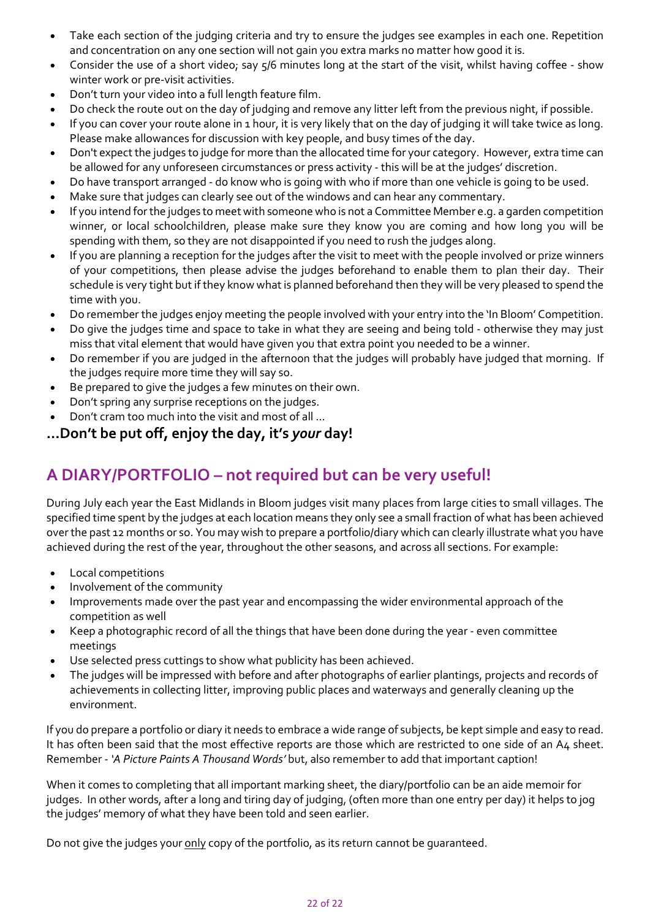- Take each section of the judging criteria and try to ensure the judges see examples in each one. Repetition and concentration on any one section will not gain you extra marks no matter how good it is.
- Consider the use of a short video; say 5/6 minutes long at the start of the visit, whilst having coffee show winter work or pre-visit activities.
- Don't turn your video into a full length feature film.
- Do check the route out on the day of judging and remove any litter left from the previous night, if possible.
- If you can cover your route alone in 1 hour, it is very likely that on the day of judging it will take twice as long. Please make allowances for discussion with key people, and busy times of the day.
- Don't expect the judges to judge for more than the allocated time for your category. However, extra time can be allowed for any unforeseen circumstances or press activity - this will be at the judges' discretion.
- Do have transport arranged do know who is going with who if more than one vehicle is going to be used.
- Make sure that judges can clearly see out of the windows and can hear any commentary.
- If you intend for the judges to meet with someone who is not a Committee Member e.g. a garden competition winner, or local schoolchildren, please make sure they know you are coming and how long you will be spending with them, so they are not disappointed if you need to rush the judges along.
- If you are planning a reception for the judges after the visit to meet with the people involved or prize winners of your competitions, then please advise the judges beforehand to enable them to plan their day. Their schedule is very tight but ifthey know what is planned beforehand then they will be very pleased to spend the time with you.
- Do remember the judges enjoy meeting the people involved with your entry into the 'In Bloom' Competition.
- Do give the judges time and space to take in what they are seeing and being told otherwise they may just miss that vital element that would have given you that extra point you needed to be a winner.
- Do remember if you are judged in the afternoon that the judges will probably have judged that morning. If the judges require more time they will say so.
- Be prepared to give the judges a few minutes on their own.
- Don't spring any surprise receptions on the judges.
- Don't cram too much into the visit and most of all ...
- **...Don't be put off, enjoy the day, it's** *your* **day!**

# **A DIARY/PORTFOLIO – not required but can be very useful!**

During July each year the East Midlands in Bloom judges visit many places from large cities to small villages. The specified time spent by the judges at each location means they only see a small fraction of what has been achieved over the past 12 months or so. You may wish to prepare a portfolio/diary which can clearly illustrate what you have achieved during the rest of the year, throughout the other seasons, and across all sections. For example:

- Local competitions
- Involvement of the community
- Improvements made over the past year and encompassing the wider environmental approach of the competition as well
- Keep a photographic record of all the things that have been done during the year even committee meetings
- Use selected press cuttings to show what publicity has been achieved.
- The judges will be impressed with before and after photographs of earlier plantings, projects and records of achievements in collecting litter, improving public places and waterways and generally cleaning up the environment.

If you do prepare a portfolio or diary it needs to embrace a wide range of subjects, be kept simple and easy to read. It has often been said that the most effective reports are those which are restricted to one side of an A4 sheet. Remember - *'A Picture Paints A Thousand Words'* but, also remember to add that important caption!

When it comes to completing that all important marking sheet, the diary/portfolio can be an aide memoir for judges. In other words, after a long and tiring day of judging, (often more than one entry per day) it helps to jog the judges' memory of what they have been told and seen earlier.

Do not give the judges your only copy of the portfolio, as its return cannot be guaranteed.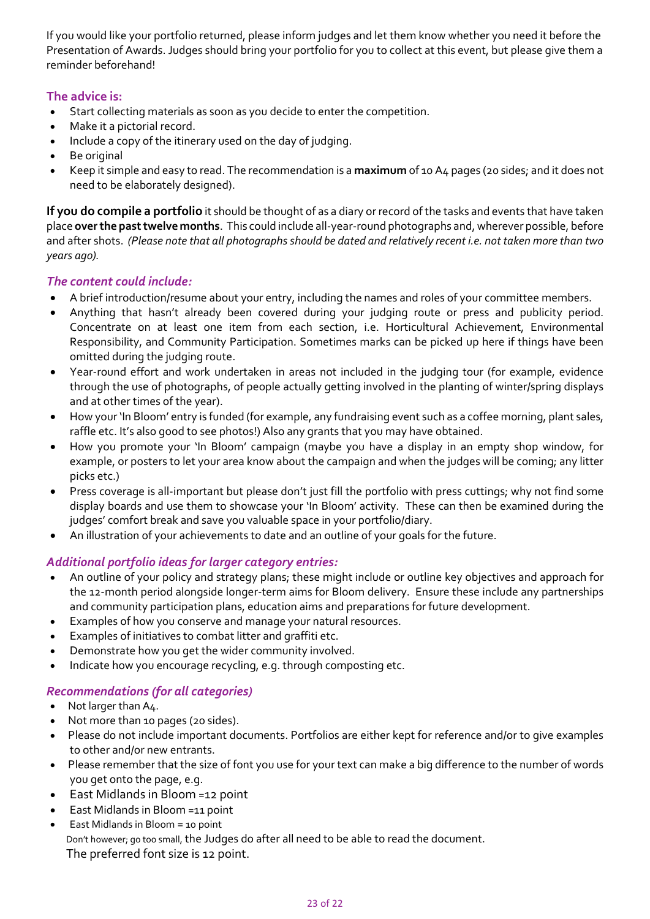If you would like your portfolio returned, please inform judges and let them know whether you need it before the Presentation of Awards. Judges should bring your portfolio for you to collect at this event, but please give them a reminder beforehand!

#### **The advice is:**

- Start collecting materials as soon as you decide to enter the competition.
- Make it a pictorial record.
- Include a copy of the itinerary used on the day of judging.
- Be original
- Keep it simple and easy to read. The recommendation is a **maximum** of 10 A4 pages (20 sides; and it does not need to be elaborately designed).

**If you do compile a portfolio** it should be thought of as a diary or record ofthe tasks and events that have taken place **overthe pasttwelvemonths**. This could include all-year-round photographs and, wherever possible, before and after shots. (Please note that all photographs should be dated and relatively recent i.e. not taken more than two *years ago).*

#### *The content could include:*

- A brief introduction/resume about your entry, including the names and roles of your committee members.
- Anything that hasn't already been covered during your judging route or press and publicity period. Concentrate on at least one item from each section, i.e. Horticultural Achievement, Environmental Responsibility, and Community Participation. Sometimes marks can be picked up here if things have been omitted during the judging route.
- Year-round effort and work undertaken in areas not included in the judging tour (for example, evidence through the use of photographs, of people actually getting involved in the planting of winter/spring displays and at other times of the year).
- How your 'In Bloom' entry is funded (for example, any fundraising event such as a coffee morning, plant sales, raffle etc. It's also good to see photos!) Also any grants that you may have obtained.
- How you promote your 'In Bloom' campaign (maybe you have a display in an empty shop window, for example, or posters to let your area know about the campaign and when the judges will be coming; any litter picks etc.)
- Press coverage is all-important but please don't just fill the portfolio with press cuttings; why not find some display boards and use them to showcase your 'In Bloom' activity. These can then be examined during the judges' comfort break and save you valuable space in your portfolio/diary.
- An illustration of your achievements to date and an outline of your goals for the future.

#### *Additional portfolio ideas for larger category entries:*

- An outline of your policy and strategy plans; these might include or outline key objectives and approach for the 12-month period alongside longer-term aims for Bloom delivery. Ensure these include any partnerships and community participation plans, education aims and preparations for future development.
- Examples of how you conserve and manage your natural resources.
- Examples of initiatives to combat litter and graffiti etc.
- Demonstrate how you get the wider community involved.
- Indicate how you encourage recycling, e.g. through composting etc.

#### *Recommendations (for all categories)*

- Not larger than A4.
- Not more than 10 pages (20 sides).
- Please do not include important documents. Portfolios are either kept for reference and/or to give examples to other and/or new entrants.
- Please remember that the size of font you use for your text can make a big difference to the number of words you get onto the page, e.g.
- East Midlands in Bloom =12 point
- East Midlands in Bloom =11 point
- East Midlands in Bloom = 10 point Don't however; go too small, the Judges do after all need to be able to read the document. The preferred font size is 12 point.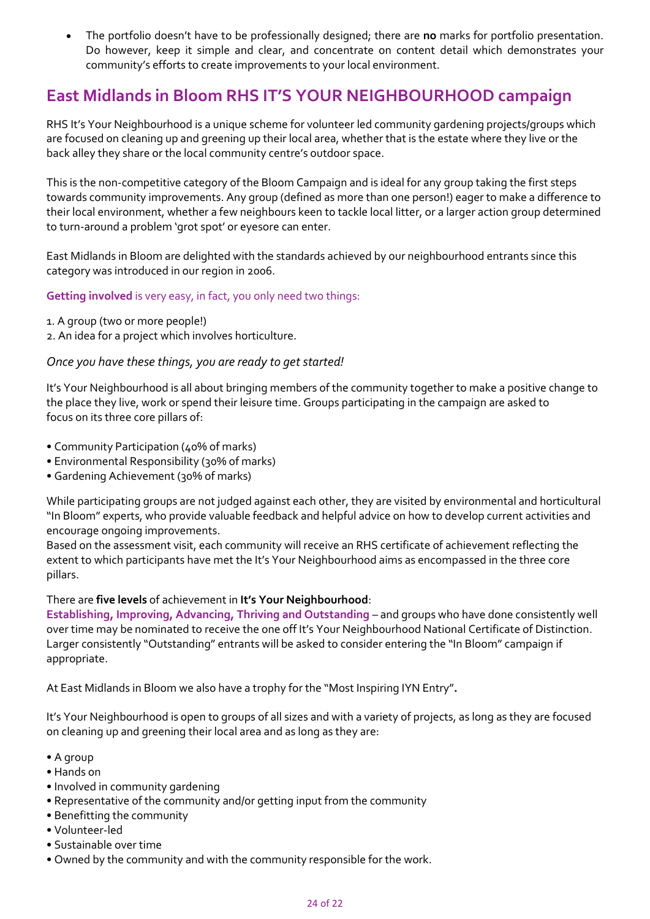• The portfolio doesn't have to be professionally designed; there are **no** marks for portfolio presentation. Do however, keep it simple and clear, and concentrate on content detail which demonstrates your community's efforts to create improvements to your local environment.

# **East Midlands in Bloom RHS IT'S YOUR NEIGHBOURHOOD campaign**

RHS It's Your Neighbourhood is a unique scheme for volunteer led community gardening projects/groups which are focused on cleaning up and greening up their local area, whether that is the estate where they live or the back alley they share or the local community centre's outdoor space.

This is the non-competitive category of the Bloom Campaign and is ideal for any group taking the first steps towards community improvements. Any group (defined as more than one person!) eager to make a difference to their local environment, whether a few neighbours keen to tackle local litter, or a larger action group determined to turn-around a problem 'grot spot' or eyesore can enter.

East Midlands in Bloom are delighted with the standards achieved by our neighbourhood entrants since this category was introduced in our region in 2006.

#### **Getting involved** is very easy, in fact, you only need two things:

- 1. A group (two or more people!)
- 2. An idea for a project which involves horticulture.

#### *Once you have these things, you are ready to get started!*

It's Your Neighbourhood is all about bringing members of the community together to make a positive change to the place they live, work or spend their leisure time. Groups participating in the campaign are asked to focus on its three core pillars of:

- Community Participation (40% of marks)
- Environmental Responsibility (30% of marks)
- Gardening Achievement (30% of marks)

While participating groups are not judged against each other, they are visited by environmental and horticultural "In Bloom" experts, who provide valuable feedback and helpful advice on how to develop current activities and encourage ongoing improvements.

Based on the assessment visit, each community will receive an RHS certificate of achievement reflecting the extent to which participants have met the It's Your Neighbourhood aims as encompassed in the three core pillars.

#### There are **five levels** of achievement in **It's Your Neighbourhood**:

**Establishing, Improving, Advancing, Thriving and Outstanding** – and groups who have done consistently well over time may be nominated to receive the one off It's Your Neighbourhood National Certificate of Distinction. Larger consistently "Outstanding" entrants will be asked to consider entering the "In Bloom" campaign if appropriate.

At East Midlands in Bloom we also have a trophy for the "Most Inspiring IYN Entry"**.**

It's Your Neighbourhood is open to groups of all sizes and with a variety of projects, as long as they are focused on cleaning up and greening their local area and as long as they are:

- A group
- Hands on
- Involved in community gardening
- Representative of the community and/or getting input from the community
- Benefitting the community
- Volunteer-led
- Sustainable over time
- Owned by the community and with the community responsible for the work.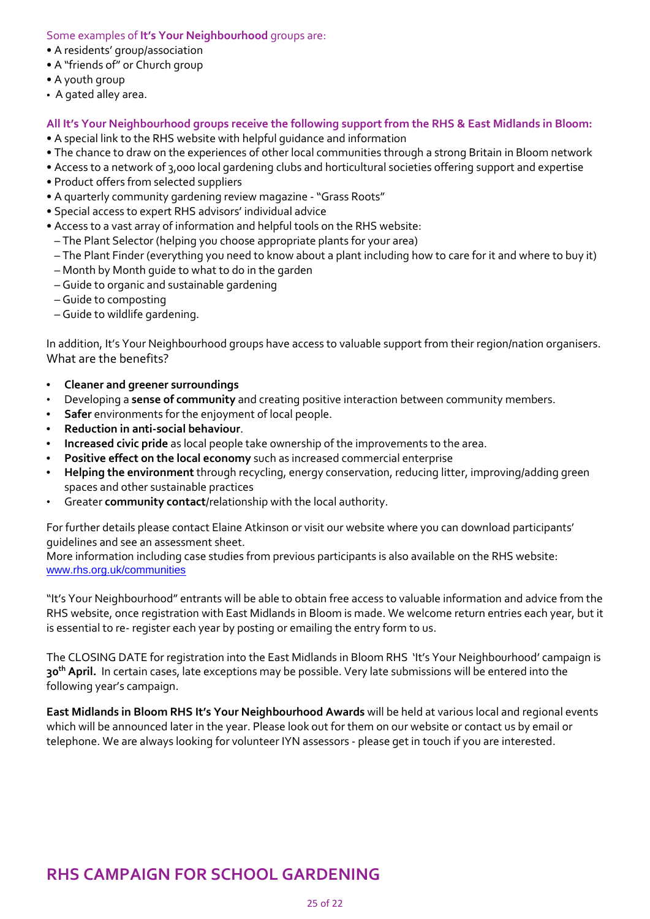#### Some examples of **It's Your Neighbourhood** groups are:

- A residents' group/association
- A "friends of" or Church group
- A youth group
- A gated alley area.

#### All It's Your Neighbourhood groups receive the following support from the RHS & East Midlands in Bloom:

- A special link to the RHS website with helpful guidance and information
- The chance to draw on the experiences of other local communities through a strong Britain in Bloom network
- Access to a network of 3,000 local gardening clubs and horticultural societies offering support and expertise
- Product offers from selected suppliers
- A quarterly community gardening review magazine "Grass Roots"
- Special access to expert RHS advisors' individual advice
- Access to a vast array of information and helpful tools on the RHS website:
- The Plant Selector (helping you choose appropriate plants for your area)
- The Plant Finder (everything you need to know about a plant including how to care for it and where to buy it)
- Month by Month guide to what to do in the garden
- Guide to organic and sustainable gardening
- Guide to composting
- Guide to wildlife gardening.

In addition, It's Your Neighbourhood groups have access to valuable support from their region/nation organisers. What are the benefits?

- **• Cleaner and greener surroundings**
- Developing a **sense of community** and creating positive interaction between community members.
- **• Safer** environments for the enjoyment of local people.
- **• Reduction in anti-social behaviour**.
- **• Increased civic pride** as local people take ownership of the improvements to the area.
- **• Positive effect on the local economy** such as increased commercial enterprise
- **• Helping the environment**through recycling, energy conservation, reducing litter, improving/adding green spaces and other sustainable practices
- Greater **community contact**/relationship with the local authority.

For further details please contact Elaine Atkinson or visit our website where you can download participants' guidelines and see an assessment sheet.

More information including case studies from previous participants is also available on the RHS website: [www.rhs.org.uk/communities](http://www.rhs.org.uk/communities)

"It's Your Neighbourhood" entrants will be able to obtain free access to valuable information and advice from the RHS website, once registration with East Midlands in Bloom is made. We welcome return entries each year, but it is essential to re- register each year by posting or emailing the entry form to us.

The CLOSING DATE for registration into the East Midlands in Bloom RHS 'It's Your Neighbourhood' campaign is **30th April.** In certain cases, late exceptions may be possible. Very late submissions will be entered into the following year's campaign.

**East Midlands in Bloom RHS It's Your Neighbourhood Awards** will be held at various local and regional events which will be announced later in the year. Please look out for them on our website or contact us by email or telephone. We are always looking for volunteer IYN assessors - please get in touch if you are interested.

# **RHS CAMPAIGN FOR SCHOOL GARDENING**